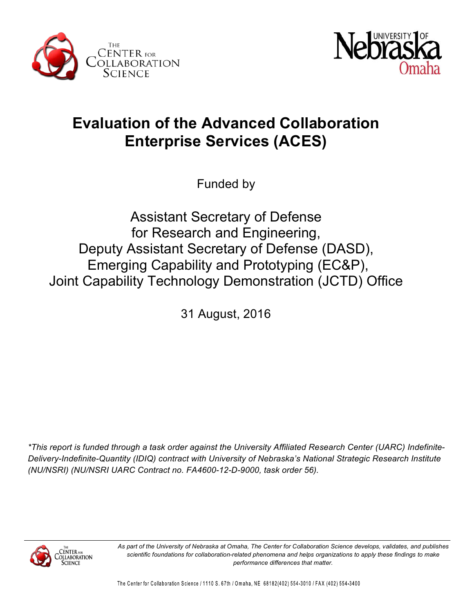



# **Evaluation of the Advanced Collaboration Enterprise Services (ACES)**

Funded by

Assistant Secretary of Defense for Research and Engineering, Deputy Assistant Secretary of Defense (DASD), Emerging Capability and Prototyping (EC&P), Joint Capability Technology Demonstration (JCTD) Office

31 August, 2016

*\*This report is funded through a task order against the University Affiliated Research Center (UARC) Indefinite-Delivery-Indefinite-Quantity (IDIQ) contract with University of Nebraska's National Strategic Research Institute (NU/NSRI) (NU/NSRI UARC Contract no. FA4600-12-D-9000, task order 56).* 



*As part of the University of Nebraska at Omaha, The Center for Collaboration Science develops, validates, and publishes scientific foundations for collaboration-related phenomena and helps organizations to apply these findings to make performance differences that matter.*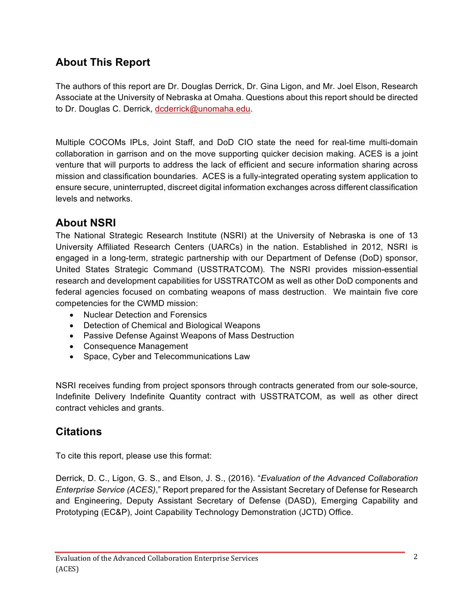## **About This Report**

The authors of this report are Dr. Douglas Derrick, Dr. Gina Ligon, and Mr. Joel Elson, Research Associate at the University of Nebraska at Omaha. Questions about this report should be directed to Dr. Douglas C. Derrick, dcderrick@unomaha.edu.

Multiple COCOMs IPLs, Joint Staff, and DoD CIO state the need for real-time multi-domain collaboration in garrison and on the move supporting quicker decision making. ACES is a joint venture that will purports to address the lack of efficient and secure information sharing across mission and classification boundaries. ACES is a fully-integrated operating system application to ensure secure, uninterrupted, discreet digital information exchanges across different classification levels and networks.

## **About NSRI**

The National Strategic Research Institute (NSRI) at the University of Nebraska is one of 13 University Affiliated Research Centers (UARCs) in the nation. Established in 2012, NSRI is engaged in a long-term, strategic partnership with our Department of Defense (DoD) sponsor, United States Strategic Command (USSTRATCOM). The NSRI provides mission-essential research and development capabilities for USSTRATCOM as well as other DoD components and federal agencies focused on combating weapons of mass destruction. We maintain five core competencies for the CWMD mission:

- Nuclear Detection and Forensics
- Detection of Chemical and Biological Weapons
- Passive Defense Against Weapons of Mass Destruction
- Consequence Management
- Space, Cyber and Telecommunications Law

NSRI receives funding from project sponsors through contracts generated from our sole-source, Indefinite Delivery Indefinite Quantity contract with USSTRATCOM, as well as other direct contract vehicles and grants.

## **Citations**

To cite this report, please use this format:

Derrick, D. C., Ligon, G. S., and Elson, J. S., (2016). "*Evaluation of the Advanced Collaboration Enterprise Service (ACES)*," Report prepared for the Assistant Secretary of Defense for Research and Engineering, Deputy Assistant Secretary of Defense (DASD), Emerging Capability and Prototyping (EC&P), Joint Capability Technology Demonstration (JCTD) Office.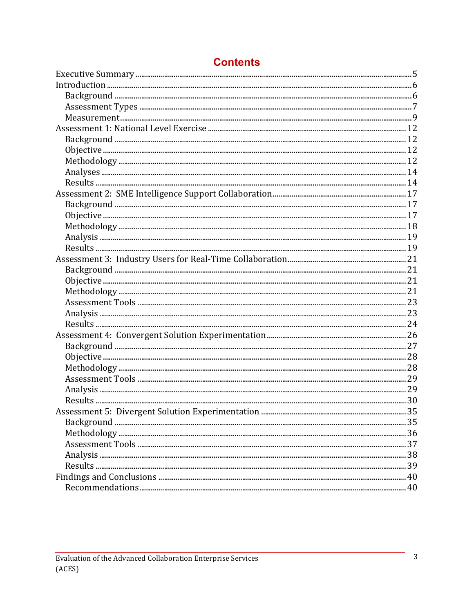## **Contents**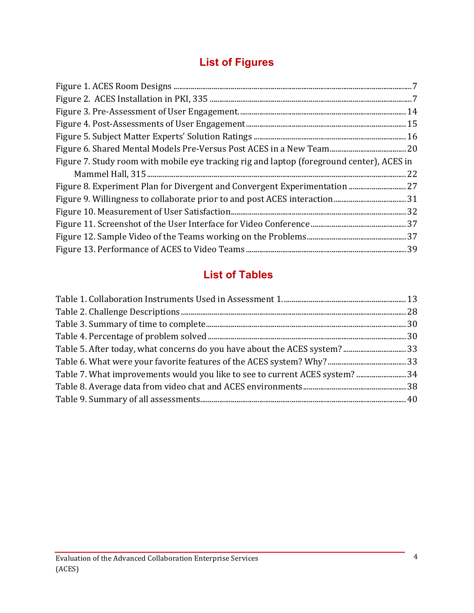## **List of Figures**

| Figure 7. Study room with mobile eye tracking rig and laptop (foreground center), ACES in |  |
|-------------------------------------------------------------------------------------------|--|
|                                                                                           |  |
| Figure 8. Experiment Plan for Divergent and Convergent Experimentation  27                |  |
|                                                                                           |  |
|                                                                                           |  |
|                                                                                           |  |
|                                                                                           |  |
|                                                                                           |  |

## **List of Tables**

| Table 5. After today, what concerns do you have about the ACES system? 33    |  |
|------------------------------------------------------------------------------|--|
|                                                                              |  |
| Table 7. What improvements would you like to see to current ACES system?  34 |  |
|                                                                              |  |
|                                                                              |  |
|                                                                              |  |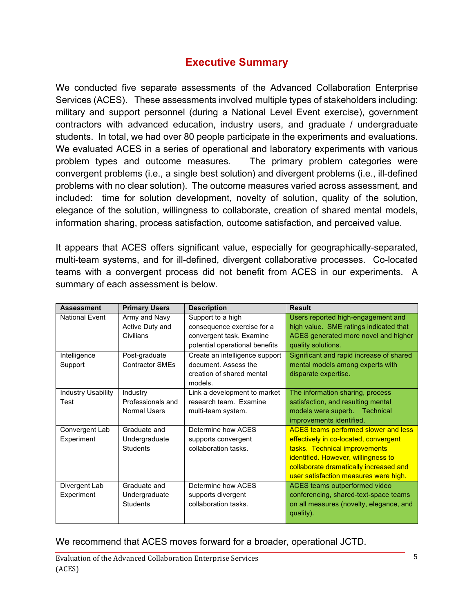### **Executive Summary**

We conducted five separate assessments of the Advanced Collaboration Enterprise Services (ACES). These assessments involved multiple types of stakeholders including: military and support personnel (during a National Level Event exercise), government contractors with advanced education, industry users, and graduate / undergraduate students. In total, we had over 80 people participate in the experiments and evaluations. We evaluated ACES in a series of operational and laboratory experiments with various problem types and outcome measures. The primary problem categories were convergent problems (i.e., a single best solution) and divergent problems (i.e., ill-defined problems with no clear solution). The outcome measures varied across assessment, and included: time for solution development, novelty of solution, quality of the solution, elegance of the solution, willingness to collaborate, creation of shared mental models, information sharing, process satisfaction, outcome satisfaction, and perceived value.

It appears that ACES offers significant value, especially for geographically-separated, multi-team systems, and for ill-defined, divergent collaborative processes. Co-located teams with a convergent process did not benefit from ACES in our experiments. A summary of each assessment is below.

| <b>Assessment</b>         | <b>Primary Users</b>   | <b>Description</b>             | <b>Result</b>                               |
|---------------------------|------------------------|--------------------------------|---------------------------------------------|
| <b>National Event</b>     | Army and Navy          | Support to a high              | Users reported high-engagement and          |
|                           | Active Duty and        | consequence exercise for a     | high value. SME ratings indicated that      |
|                           | Civilians              | convergent task. Examine       | ACES generated more novel and higher        |
|                           |                        | potential operational benefits | quality solutions.                          |
| Intelligence              | Post-graduate          | Create an intelligence support | Significant and rapid increase of shared    |
| Support                   | <b>Contractor SMEs</b> | document. Assess the           | mental models among experts with            |
|                           |                        | creation of shared mental      | disparate expertise.                        |
|                           |                        | models.                        |                                             |
| <b>Industry Usability</b> | Industry               | Link a development to market   | The information sharing, process            |
| Test                      | Professionals and      | research team. Examine         | satisfaction, and resulting mental          |
|                           | <b>Normal Users</b>    | multi-team system.             | models were superb. Technical               |
|                           |                        |                                | improvements identified.                    |
| Convergent Lab            | Graduate and           | Determine how ACES             | <b>ACES teams performed slower and less</b> |
| Experiment                | Undergraduate          | supports convergent            | effectively in co-located, convergent       |
|                           | <b>Students</b>        | collaboration tasks.           | tasks. Technical improvements               |
|                           |                        |                                | identified. However, willingness to         |
|                           |                        |                                | collaborate dramatically increased and      |
|                           |                        |                                | user satisfaction measures were high.       |
| Divergent Lab             | Graduate and           | Determine how ACES             | ACES teams outperformed video               |
| Experiment                | Undergraduate          | supports divergent             | conferencing, shared-text-space teams       |
|                           | <b>Students</b>        | collaboration tasks.           | on all measures (novelty, elegance, and     |
|                           |                        |                                | quality).                                   |
|                           |                        |                                |                                             |

#### We recommend that ACES moves forward for a broader, operational JCTD.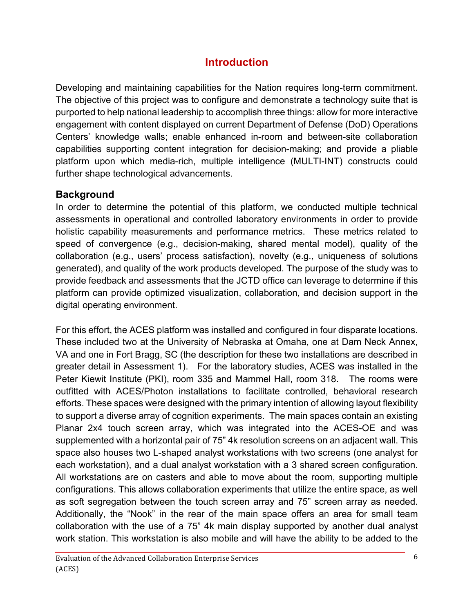## **Introduction**

Developing and maintaining capabilities for the Nation requires long-term commitment. The objective of this project was to configure and demonstrate a technology suite that is purported to help national leadership to accomplish three things: allow for more interactive engagement with content displayed on current Department of Defense (DoD) Operations Centers' knowledge walls; enable enhanced in-room and between-site collaboration capabilities supporting content integration for decision-making; and provide a pliable platform upon which media-rich, multiple intelligence (MULTI-INT) constructs could further shape technological advancements.

### **Background**

In order to determine the potential of this platform, we conducted multiple technical assessments in operational and controlled laboratory environments in order to provide holistic capability measurements and performance metrics. These metrics related to speed of convergence (e.g., decision-making, shared mental model), quality of the collaboration (e.g., users' process satisfaction), novelty (e.g., uniqueness of solutions generated), and quality of the work products developed. The purpose of the study was to provide feedback and assessments that the JCTD office can leverage to determine if this platform can provide optimized visualization, collaboration, and decision support in the digital operating environment.

For this effort, the ACES platform was installed and configured in four disparate locations. These included two at the University of Nebraska at Omaha, one at Dam Neck Annex, VA and one in Fort Bragg, SC (the description for these two installations are described in greater detail in Assessment 1). For the laboratory studies, ACES was installed in the Peter Kiewit Institute (PKI), room 335 and Mammel Hall, room 318. The rooms were outfitted with ACES/Photon installations to facilitate controlled, behavioral research efforts. These spaces were designed with the primary intention of allowing layout flexibility to support a diverse array of cognition experiments. The main spaces contain an existing Planar 2x4 touch screen array, which was integrated into the ACES-OE and was supplemented with a horizontal pair of 75" 4k resolution screens on an adjacent wall. This space also houses two L-shaped analyst workstations with two screens (one analyst for each workstation), and a dual analyst workstation with a 3 shared screen configuration. All workstations are on casters and able to move about the room, supporting multiple configurations. This allows collaboration experiments that utilize the entire space, as well as soft segregation between the touch screen array and 75" screen array as needed. Additionally, the "Nook" in the rear of the main space offers an area for small team collaboration with the use of a 75" 4k main display supported by another dual analyst work station. This workstation is also mobile and will have the ability to be added to the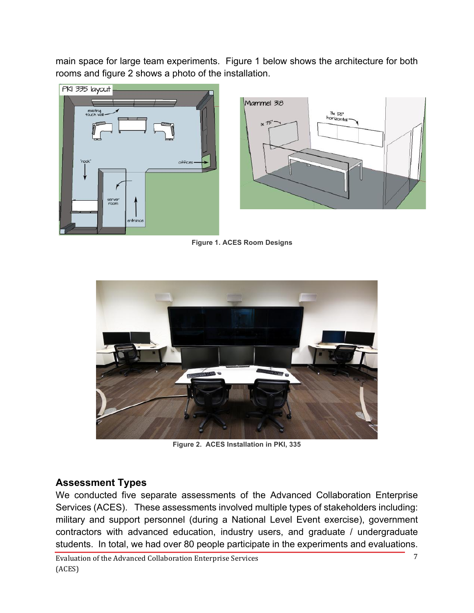main space for large team experiments. Figure 1 below shows the architecture for both rooms and figure 2 shows a photo of the installation.



**Figure 1. ACES Room Designs**



**Figure 2. ACES Installation in PKI, 335**

#### **Assessment Types**

We conducted five separate assessments of the Advanced Collaboration Enterprise Services (ACES). These assessments involved multiple types of stakeholders including: military and support personnel (during a National Level Event exercise), government contractors with advanced education, industry users, and graduate / undergraduate students. In total, we had over 80 people participate in the experiments and evaluations.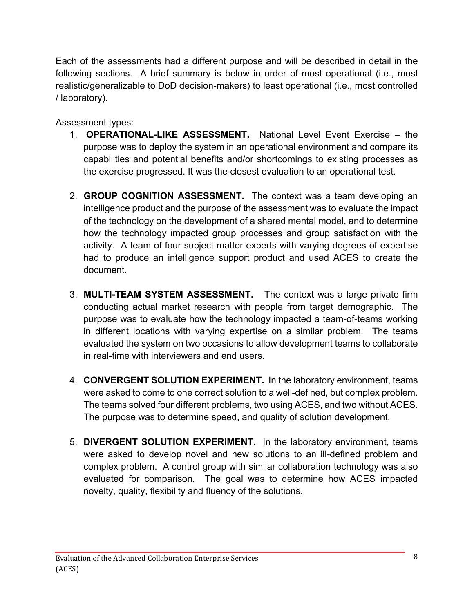Each of the assessments had a different purpose and will be described in detail in the following sections. A brief summary is below in order of most operational (i.e., most realistic/generalizable to DoD decision-makers) to least operational (i.e., most controlled / laboratory).

Assessment types:

- 1. **OPERATIONAL-LIKE ASSESSMENT.** National Level Event Exercise the purpose was to deploy the system in an operational environment and compare its capabilities and potential benefits and/or shortcomings to existing processes as the exercise progressed. It was the closest evaluation to an operational test.
- 2. **GROUP COGNITION ASSESSMENT.** The context was a team developing an intelligence product and the purpose of the assessment was to evaluate the impact of the technology on the development of a shared mental model, and to determine how the technology impacted group processes and group satisfaction with the activity. A team of four subject matter experts with varying degrees of expertise had to produce an intelligence support product and used ACES to create the document.
- 3. **MULTI-TEAM SYSTEM ASSESSMENT.** The context was a large private firm conducting actual market research with people from target demographic. The purpose was to evaluate how the technology impacted a team-of-teams working in different locations with varying expertise on a similar problem. The teams evaluated the system on two occasions to allow development teams to collaborate in real-time with interviewers and end users.
- 4. **CONVERGENT SOLUTION EXPERIMENT.** In the laboratory environment, teams were asked to come to one correct solution to a well-defined, but complex problem. The teams solved four different problems, two using ACES, and two without ACES. The purpose was to determine speed, and quality of solution development.
- 5. **DIVERGENT SOLUTION EXPERIMENT.** In the laboratory environment, teams were asked to develop novel and new solutions to an ill-defined problem and complex problem. A control group with similar collaboration technology was also evaluated for comparison. The goal was to determine how ACES impacted novelty, quality, flexibility and fluency of the solutions.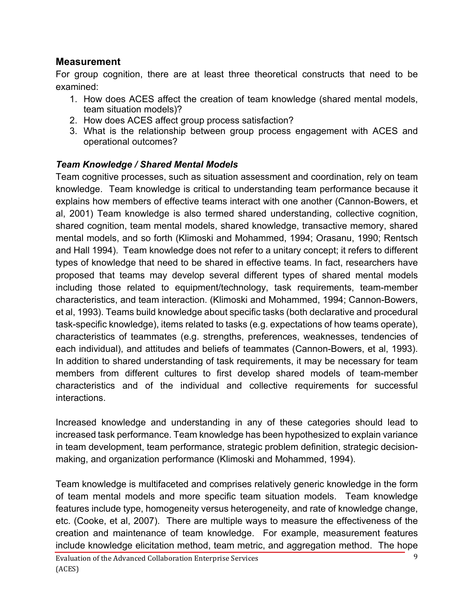#### **Measurement**

For group cognition, there are at least three theoretical constructs that need to be examined:

- 1. How does ACES affect the creation of team knowledge (shared mental models, team situation models)?
- 2. How does ACES affect group process satisfaction?
- 3. What is the relationship between group process engagement with ACES and operational outcomes?

#### *Team Knowledge / Shared Mental Models*

Team cognitive processes, such as situation assessment and coordination, rely on team knowledge. Team knowledge is critical to understanding team performance because it explains how members of effective teams interact with one another (Cannon-Bowers, et al, 2001) Team knowledge is also termed shared understanding, collective cognition, shared cognition, team mental models, shared knowledge, transactive memory, shared mental models, and so forth (Klimoski and Mohammed, 1994; Orasanu, 1990; Rentsch and Hall 1994). Team knowledge does not refer to a unitary concept; it refers to different types of knowledge that need to be shared in effective teams. In fact, researchers have proposed that teams may develop several different types of shared mental models including those related to equipment/technology, task requirements, team-member characteristics, and team interaction. (Klimoski and Mohammed, 1994; Cannon-Bowers, et al, 1993). Teams build knowledge about specific tasks (both declarative and procedural task-specific knowledge), items related to tasks (e.g. expectations of how teams operate), characteristics of teammates (e.g. strengths, preferences, weaknesses, tendencies of each individual), and attitudes and beliefs of teammates (Cannon-Bowers, et al, 1993). In addition to shared understanding of task requirements, it may be necessary for team members from different cultures to first develop shared models of team-member characteristics and of the individual and collective requirements for successful interactions.

Increased knowledge and understanding in any of these categories should lead to increased task performance. Team knowledge has been hypothesized to explain variance in team development, team performance, strategic problem definition, strategic decisionmaking, and organization performance (Klimoski and Mohammed, 1994).

Team knowledge is multifaceted and comprises relatively generic knowledge in the form of team mental models and more specific team situation models. Team knowledge features include type, homogeneity versus heterogeneity, and rate of knowledge change, etc. (Cooke, et al, 2007). There are multiple ways to measure the effectiveness of the creation and maintenance of team knowledge. For example, measurement features include knowledge elicitation method, team metric, and aggregation method. The hope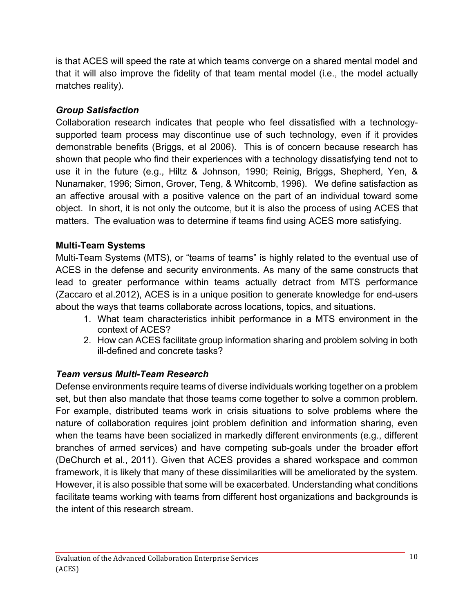is that ACES will speed the rate at which teams converge on a shared mental model and that it will also improve the fidelity of that team mental model (i.e., the model actually matches reality).

#### *Group Satisfaction*

Collaboration research indicates that people who feel dissatisfied with a technologysupported team process may discontinue use of such technology, even if it provides demonstrable benefits (Briggs, et al 2006). This is of concern because research has shown that people who find their experiences with a technology dissatisfying tend not to use it in the future (e.g., Hiltz & Johnson, 1990; Reinig, Briggs, Shepherd, Yen, & Nunamaker, 1996; Simon, Grover, Teng, & Whitcomb, 1996). We define satisfaction as an affective arousal with a positive valence on the part of an individual toward some object. In short, it is not only the outcome, but it is also the process of using ACES that matters. The evaluation was to determine if teams find using ACES more satisfying.

#### **Multi-Team Systems**

Multi-Team Systems (MTS), or "teams of teams" is highly related to the eventual use of ACES in the defense and security environments. As many of the same constructs that lead to greater performance within teams actually detract from MTS performance (Zaccaro et al.2012), ACES is in a unique position to generate knowledge for end-users about the ways that teams collaborate across locations, topics, and situations.

- 1. What team characteristics inhibit performance in a MTS environment in the context of ACES?
- 2. How can ACES facilitate group information sharing and problem solving in both ill-defined and concrete tasks?

#### *Team versus Multi-Team Research*

Defense environments require teams of diverse individuals working together on a problem set, but then also mandate that those teams come together to solve a common problem. For example, distributed teams work in crisis situations to solve problems where the nature of collaboration requires joint problem definition and information sharing, even when the teams have been socialized in markedly different environments (e.g., different branches of armed services) and have competing sub-goals under the broader effort (DeChurch et al., 2011). Given that ACES provides a shared workspace and common framework, it is likely that many of these dissimilarities will be ameliorated by the system. However, it is also possible that some will be exacerbated. Understanding what conditions facilitate teams working with teams from different host organizations and backgrounds is the intent of this research stream.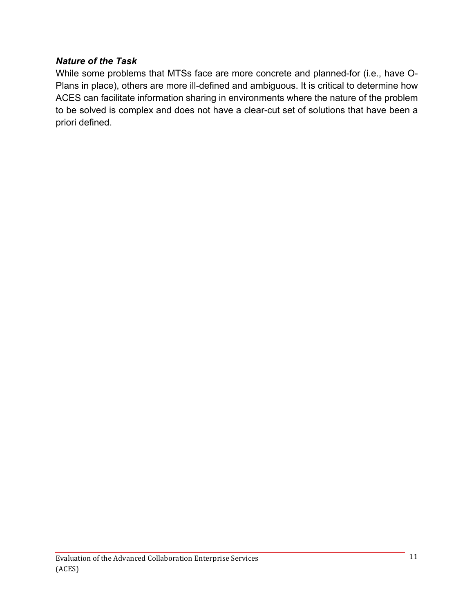#### *Nature of the Task*

While some problems that MTSs face are more concrete and planned-for (i.e., have O-Plans in place), others are more ill-defined and ambiguous. It is critical to determine how ACES can facilitate information sharing in environments where the nature of the problem to be solved is complex and does not have a clear-cut set of solutions that have been a priori defined.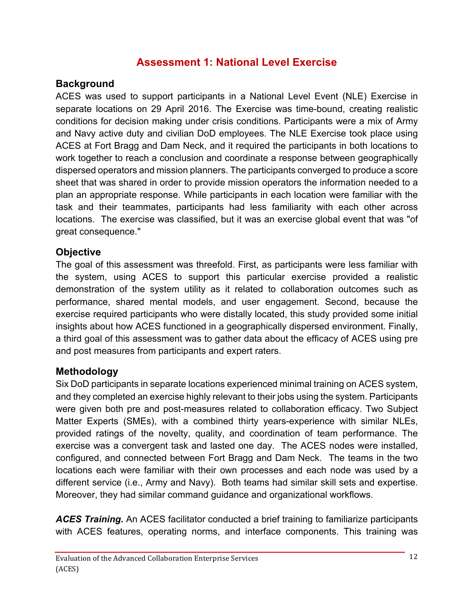### **Assessment 1: National Level Exercise**

#### **Background**

ACES was used to support participants in a National Level Event (NLE) Exercise in separate locations on 29 April 2016. The Exercise was time-bound, creating realistic conditions for decision making under crisis conditions. Participants were a mix of Army and Navy active duty and civilian DoD employees. The NLE Exercise took place using ACES at Fort Bragg and Dam Neck, and it required the participants in both locations to work together to reach a conclusion and coordinate a response between geographically dispersed operators and mission planners. The participants converged to produce a score sheet that was shared in order to provide mission operators the information needed to a plan an appropriate response. While participants in each location were familiar with the task and their teammates, participants had less familiarity with each other across locations. The exercise was classified, but it was an exercise global event that was "of great consequence."

#### **Objective**

The goal of this assessment was threefold. First, as participants were less familiar with the system, using ACES to support this particular exercise provided a realistic demonstration of the system utility as it related to collaboration outcomes such as performance, shared mental models, and user engagement. Second, because the exercise required participants who were distally located, this study provided some initial insights about how ACES functioned in a geographically dispersed environment. Finally, a third goal of this assessment was to gather data about the efficacy of ACES using pre and post measures from participants and expert raters.

#### **Methodology**

Six DoD participants in separate locations experienced minimal training on ACES system, and they completed an exercise highly relevant to their jobs using the system. Participants were given both pre and post-measures related to collaboration efficacy. Two Subject Matter Experts (SMEs), with a combined thirty years-experience with similar NLEs, provided ratings of the novelty, quality, and coordination of team performance. The exercise was a convergent task and lasted one day. The ACES nodes were installed, configured, and connected between Fort Bragg and Dam Neck. The teams in the two locations each were familiar with their own processes and each node was used by a different service (i.e., Army and Navy). Both teams had similar skill sets and expertise. Moreover, they had similar command guidance and organizational workflows.

*ACES Training.* An ACES facilitator conducted a brief training to familiarize participants with ACES features, operating norms, and interface components. This training was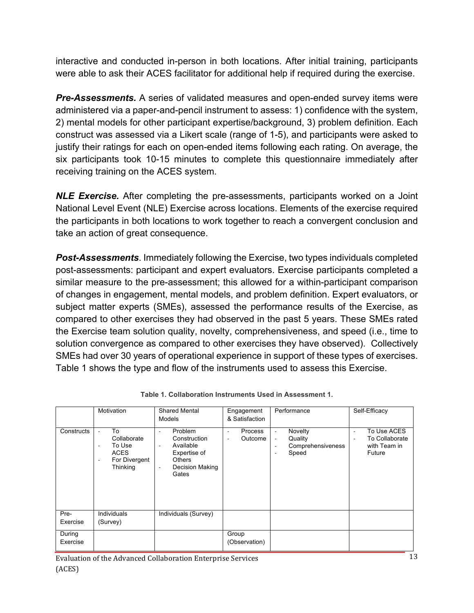interactive and conducted in-person in both locations. After initial training, participants were able to ask their ACES facilitator for additional help if required during the exercise.

*Pre-Assessments.* A series of validated measures and open-ended survey items were administered via a paper-and-pencil instrument to assess: 1) confidence with the system, 2) mental models for other participant expertise/background, 3) problem definition. Each construct was assessed via a Likert scale (range of 1-5), and participants were asked to justify their ratings for each on open-ended items following each rating. On average, the six participants took 10-15 minutes to complete this questionnaire immediately after receiving training on the ACES system.

*NLE Exercise.* After completing the pre-assessments, participants worked on a Joint National Level Event (NLE) Exercise across locations. Elements of the exercise required the participants in both locations to work together to reach a convergent conclusion and take an action of great consequence.

*Post-Assessments*. Immediately following the Exercise, two types individuals completed post-assessments: participant and expert evaluators. Exercise participants completed a similar measure to the pre-assessment; this allowed for a within-participant comparison of changes in engagement, mental models, and problem definition. Expert evaluators, or subject matter experts (SMEs), assessed the performance results of the Exercise, as compared to other exercises they had observed in the past 5 years. These SMEs rated the Exercise team solution quality, novelty, comprehensiveness, and speed (i.e., time to solution convergence as compared to other exercises they have observed). Collectively SMEs had over 30 years of operational experience in support of these types of exercises. Table 1 shows the type and flow of the instruments used to assess this Exercise.

|                    | Motivation                                                                                               | <b>Shared Mental</b><br>Models                                                                                                                                      | Engagement<br>& Satisfaction                        | Performance                                                                                                         | Self-Efficacy                                                                                                   |
|--------------------|----------------------------------------------------------------------------------------------------------|---------------------------------------------------------------------------------------------------------------------------------------------------------------------|-----------------------------------------------------|---------------------------------------------------------------------------------------------------------------------|-----------------------------------------------------------------------------------------------------------------|
| Constructs         | To<br>Collaborate<br>To Use<br>$\overline{\phantom{0}}$<br><b>ACES</b><br>For Divergent<br>٠<br>Thinking | Problem<br>$\sim$<br>Construction<br>Available<br>$\overline{\phantom{a}}$<br>Expertise of<br><b>Others</b><br>Decision Making<br>$\overline{\phantom{a}}$<br>Gates | Process<br>$\overline{\phantom{a}}$<br>Outcome<br>٠ | Novelty<br>$\overline{\phantom{a}}$<br>Quality<br>÷.<br>Comprehensiveness<br>٠<br>Speed<br>$\overline{\phantom{a}}$ | To Use ACES<br>$\overline{\phantom{a}}$<br>To Collaborate<br>$\overline{\phantom{a}}$<br>with Team in<br>Future |
| Pre-<br>Exercise   | Individuals<br>(Survey)                                                                                  | Individuals (Survey)                                                                                                                                                |                                                     |                                                                                                                     |                                                                                                                 |
| During<br>Exercise |                                                                                                          |                                                                                                                                                                     | Group<br>(Observation)                              |                                                                                                                     |                                                                                                                 |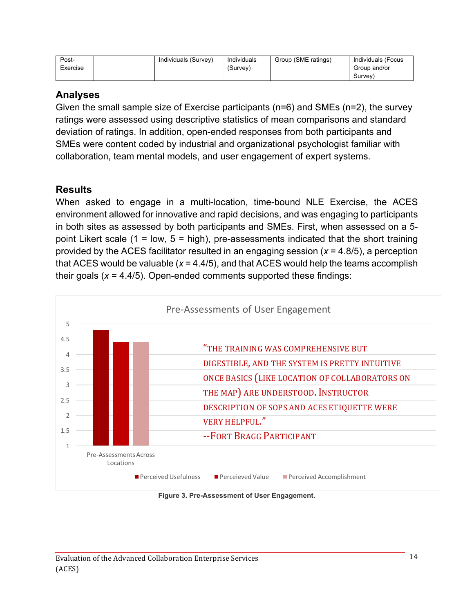| Post-<br>Exercise | Individuals (Survey) | Individuals<br>(Survey) | Group (SME ratings) | Individuals (Focus<br>Group and/or |
|-------------------|----------------------|-------------------------|---------------------|------------------------------------|
|                   |                      |                         |                     | Survey)                            |

#### **Analyses**

Given the small sample size of Exercise participants (n=6) and SMEs (n=2), the survey ratings were assessed using descriptive statistics of mean comparisons and standard deviation of ratings. In addition, open-ended responses from both participants and SMEs were content coded by industrial and organizational psychologist familiar with collaboration, team mental models, and user engagement of expert systems.

#### **Results**

When asked to engage in a multi-location, time-bound NLE Exercise, the ACES environment allowed for innovative and rapid decisions, and was engaging to participants in both sites as assessed by both participants and SMEs. First, when assessed on a 5 point Likert scale (1 = low, 5 = high), pre-assessments indicated that the short training provided by the ACES facilitator resulted in an engaging session (*x* = 4.8/5), a perception that ACES would be valuable (*x* = 4.4/5), and that ACES would help the teams accomplish their goals (*x* = 4.4/5). Open-ended comments supported these findings:



**Figure 3. Pre-Assessment of User Engagement.**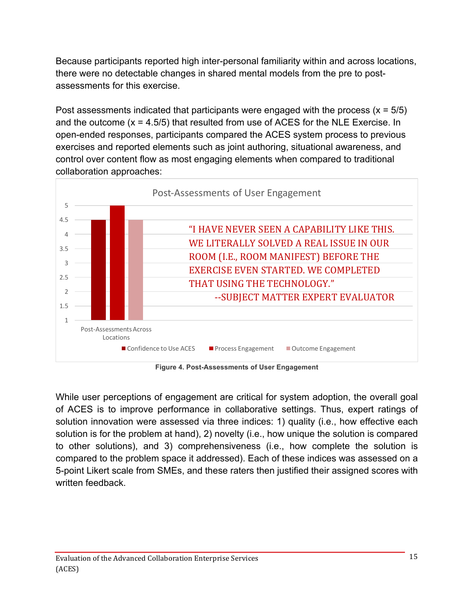Because participants reported high inter-personal familiarity within and across locations, there were no detectable changes in shared mental models from the pre to postassessments for this exercise.

Post assessments indicated that participants were engaged with the process  $(x = 5/5)$ and the outcome  $(x = 4.5/5)$  that resulted from use of ACES for the NLE Exercise. In open-ended responses, participants compared the ACES system process to previous exercises and reported elements such as joint authoring, situational awareness, and control over content flow as most engaging elements when compared to traditional collaboration approaches:



**Figure 4. Post-Assessments of User Engagement**

While user perceptions of engagement are critical for system adoption, the overall goal of ACES is to improve performance in collaborative settings. Thus, expert ratings of solution innovation were assessed via three indices: 1) quality (i.e., how effective each solution is for the problem at hand), 2) novelty (i.e., how unique the solution is compared to other solutions), and 3) comprehensiveness (i.e., how complete the solution is compared to the problem space it addressed). Each of these indices was assessed on a 5-point Likert scale from SMEs, and these raters then justified their assigned scores with written feedback.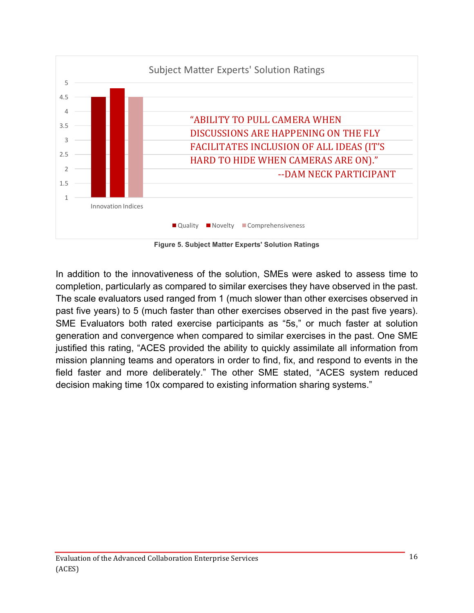

**Figure 5. Subject Matter Experts' Solution Ratings**

In addition to the innovativeness of the solution, SMEs were asked to assess time to completion, particularly as compared to similar exercises they have observed in the past. The scale evaluators used ranged from 1 (much slower than other exercises observed in past five years) to 5 (much faster than other exercises observed in the past five years). SME Evaluators both rated exercise participants as "5s," or much faster at solution generation and convergence when compared to similar exercises in the past. One SME justified this rating, "ACES provided the ability to quickly assimilate all information from mission planning teams and operators in order to find, fix, and respond to events in the field faster and more deliberately." The other SME stated, "ACES system reduced decision making time 10x compared to existing information sharing systems."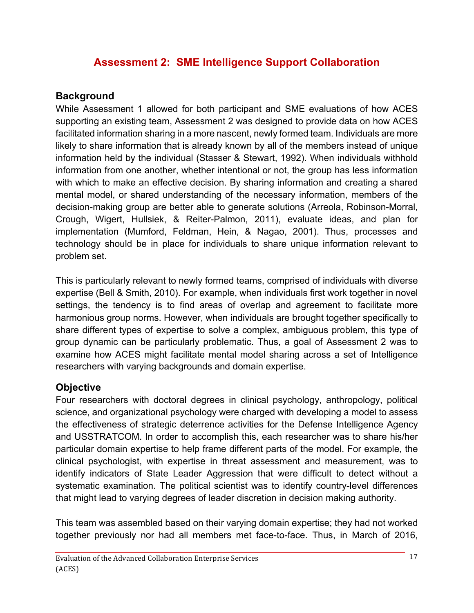## **Assessment 2: SME Intelligence Support Collaboration**

#### **Background**

While Assessment 1 allowed for both participant and SME evaluations of how ACES supporting an existing team, Assessment 2 was designed to provide data on how ACES facilitated information sharing in a more nascent, newly formed team. Individuals are more likely to share information that is already known by all of the members instead of unique information held by the individual (Stasser & Stewart, 1992). When individuals withhold information from one another, whether intentional or not, the group has less information with which to make an effective decision. By sharing information and creating a shared mental model, or shared understanding of the necessary information, members of the decision-making group are better able to generate solutions (Arreola, Robinson-Morral, Crough, Wigert, Hullsiek, & Reiter-Palmon, 2011), evaluate ideas, and plan for implementation (Mumford, Feldman, Hein, & Nagao, 2001). Thus, processes and technology should be in place for individuals to share unique information relevant to problem set.

This is particularly relevant to newly formed teams, comprised of individuals with diverse expertise (Bell & Smith, 2010). For example, when individuals first work together in novel settings, the tendency is to find areas of overlap and agreement to facilitate more harmonious group norms. However, when individuals are brought together specifically to share different types of expertise to solve a complex, ambiguous problem, this type of group dynamic can be particularly problematic. Thus, a goal of Assessment 2 was to examine how ACES might facilitate mental model sharing across a set of Intelligence researchers with varying backgrounds and domain expertise.

### **Objective**

Four researchers with doctoral degrees in clinical psychology, anthropology, political science, and organizational psychology were charged with developing a model to assess the effectiveness of strategic deterrence activities for the Defense Intelligence Agency and USSTRATCOM. In order to accomplish this, each researcher was to share his/her particular domain expertise to help frame different parts of the model. For example, the clinical psychologist, with expertise in threat assessment and measurement, was to identify indicators of State Leader Aggression that were difficult to detect without a systematic examination. The political scientist was to identify country-level differences that might lead to varying degrees of leader discretion in decision making authority.

This team was assembled based on their varying domain expertise; they had not worked together previously nor had all members met face-to-face. Thus, in March of 2016,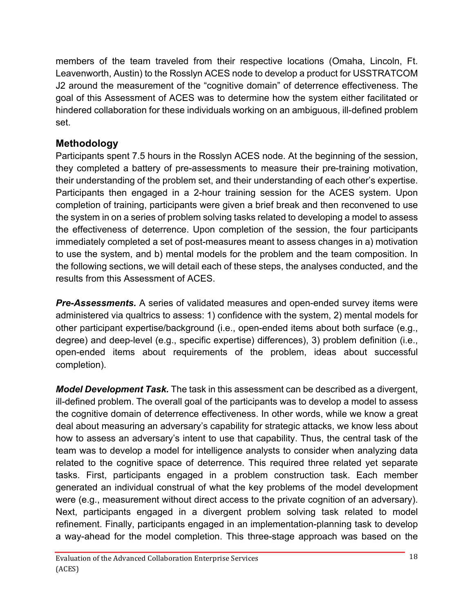members of the team traveled from their respective locations (Omaha, Lincoln, Ft. Leavenworth, Austin) to the Rosslyn ACES node to develop a product for USSTRATCOM J2 around the measurement of the "cognitive domain" of deterrence effectiveness. The goal of this Assessment of ACES was to determine how the system either facilitated or hindered collaboration for these individuals working on an ambiguous, ill-defined problem set.

### **Methodology**

Participants spent 7.5 hours in the Rosslyn ACES node. At the beginning of the session, they completed a battery of pre-assessments to measure their pre-training motivation, their understanding of the problem set, and their understanding of each other's expertise. Participants then engaged in a 2-hour training session for the ACES system. Upon completion of training, participants were given a brief break and then reconvened to use the system in on a series of problem solving tasks related to developing a model to assess the effectiveness of deterrence. Upon completion of the session, the four participants immediately completed a set of post-measures meant to assess changes in a) motivation to use the system, and b) mental models for the problem and the team composition. In the following sections, we will detail each of these steps, the analyses conducted, and the results from this Assessment of ACES.

*Pre-Assessments.* A series of validated measures and open-ended survey items were administered via qualtrics to assess: 1) confidence with the system, 2) mental models for other participant expertise/background (i.e., open-ended items about both surface (e.g., degree) and deep-level (e.g., specific expertise) differences), 3) problem definition (i.e., open-ended items about requirements of the problem, ideas about successful completion).

*Model Development Task.* The task in this assessment can be described as a divergent, ill-defined problem. The overall goal of the participants was to develop a model to assess the cognitive domain of deterrence effectiveness. In other words, while we know a great deal about measuring an adversary's capability for strategic attacks, we know less about how to assess an adversary's intent to use that capability. Thus, the central task of the team was to develop a model for intelligence analysts to consider when analyzing data related to the cognitive space of deterrence. This required three related yet separate tasks. First, participants engaged in a problem construction task. Each member generated an individual construal of what the key problems of the model development were (e.g., measurement without direct access to the private cognition of an adversary). Next, participants engaged in a divergent problem solving task related to model refinement. Finally, participants engaged in an implementation-planning task to develop a way-ahead for the model completion. This three-stage approach was based on the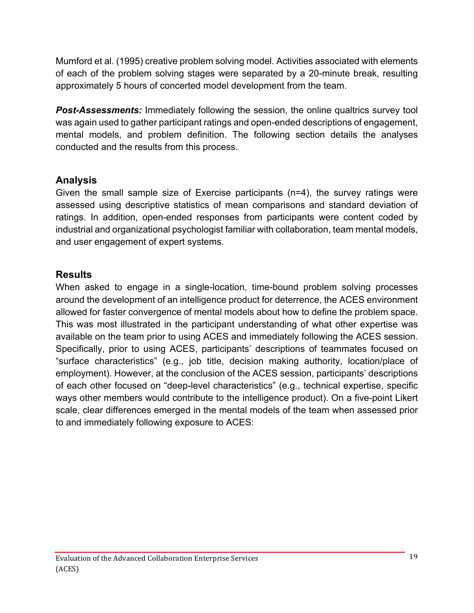Mumford et al. (1995) creative problem solving model. Activities associated with elements of each of the problem solving stages were separated by a 20-minute break, resulting approximately 5 hours of concerted model development from the team.

**Post-Assessments:** Immediately following the session, the online qualtrics survey tool was again used to gather participant ratings and open-ended descriptions of engagement, mental models, and problem definition. The following section details the analyses conducted and the results from this process.

#### **Analysis**

Given the small sample size of Exercise participants (n=4), the survey ratings were assessed using descriptive statistics of mean comparisons and standard deviation of ratings. In addition, open-ended responses from participants were content coded by industrial and organizational psychologist familiar with collaboration, team mental models, and user engagement of expert systems.

#### **Results**

When asked to engage in a single-location, time-bound problem solving processes around the development of an intelligence product for deterrence, the ACES environment allowed for faster convergence of mental models about how to define the problem space. This was most illustrated in the participant understanding of what other expertise was available on the team prior to using ACES and immediately following the ACES session. Specifically, prior to using ACES, participants' descriptions of teammates focused on "surface characteristics" (e.g., job title, decision making authority, location/place of employment). However, at the conclusion of the ACES session, participants' descriptions of each other focused on "deep-level characteristics" (e.g., technical expertise, specific ways other members would contribute to the intelligence product). On a five-point Likert scale, clear differences emerged in the mental models of the team when assessed prior to and immediately following exposure to ACES: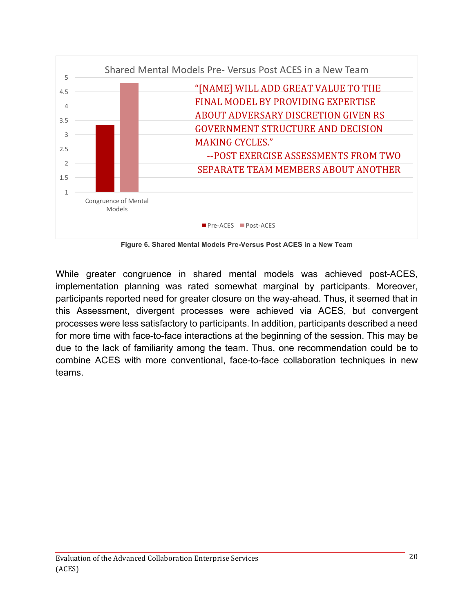

**Figure 6. Shared Mental Models Pre-Versus Post ACES in a New Team**

While greater congruence in shared mental models was achieved post-ACES, implementation planning was rated somewhat marginal by participants. Moreover, participants reported need for greater closure on the way-ahead. Thus, it seemed that in this Assessment, divergent processes were achieved via ACES, but convergent processes were less satisfactory to participants. In addition, participants described a need for more time with face-to-face interactions at the beginning of the session. This may be due to the lack of familiarity among the team. Thus, one recommendation could be to combine ACES with more conventional, face-to-face collaboration techniques in new teams.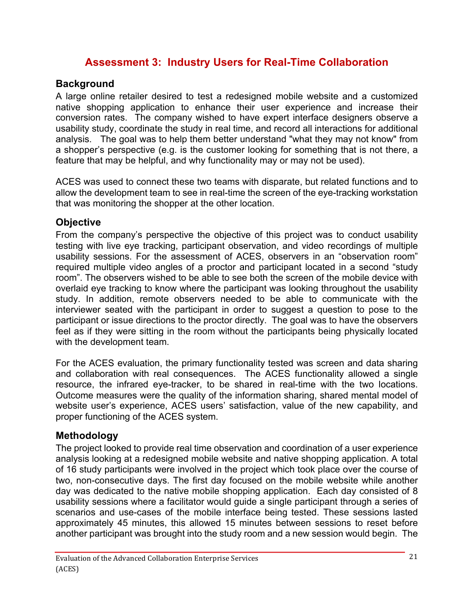### **Assessment 3: Industry Users for Real-Time Collaboration**

#### **Background**

A large online retailer desired to test a redesigned mobile website and a customized native shopping application to enhance their user experience and increase their conversion rates. The company wished to have expert interface designers observe a usability study, coordinate the study in real time, and record all interactions for additional analysis. The goal was to help them better understand "what they may not know" from a shopper's perspective (e.g. is the customer looking for something that is not there, a feature that may be helpful, and why functionality may or may not be used).

ACES was used to connect these two teams with disparate, but related functions and to allow the development team to see in real-time the screen of the eye-tracking workstation that was monitoring the shopper at the other location.

#### **Objective**

From the company's perspective the objective of this project was to conduct usability testing with live eye tracking, participant observation, and video recordings of multiple usability sessions. For the assessment of ACES, observers in an "observation room" required multiple video angles of a proctor and participant located in a second "study room". The observers wished to be able to see both the screen of the mobile device with overlaid eye tracking to know where the participant was looking throughout the usability study. In addition, remote observers needed to be able to communicate with the interviewer seated with the participant in order to suggest a question to pose to the participant or issue directions to the proctor directly. The goal was to have the observers feel as if they were sitting in the room without the participants being physically located with the development team.

For the ACES evaluation, the primary functionality tested was screen and data sharing and collaboration with real consequences. The ACES functionality allowed a single resource, the infrared eye-tracker, to be shared in real-time with the two locations. Outcome measures were the quality of the information sharing, shared mental model of website user's experience, ACES users' satisfaction, value of the new capability, and proper functioning of the ACES system.

#### **Methodology**

The project looked to provide real time observation and coordination of a user experience analysis looking at a redesigned mobile website and native shopping application. A total of 16 study participants were involved in the project which took place over the course of two, non-consecutive days. The first day focused on the mobile website while another day was dedicated to the native mobile shopping application. Each day consisted of 8 usability sessions where a facilitator would guide a single participant through a series of scenarios and use-cases of the mobile interface being tested. These sessions lasted approximately 45 minutes, this allowed 15 minutes between sessions to reset before another participant was brought into the study room and a new session would begin. The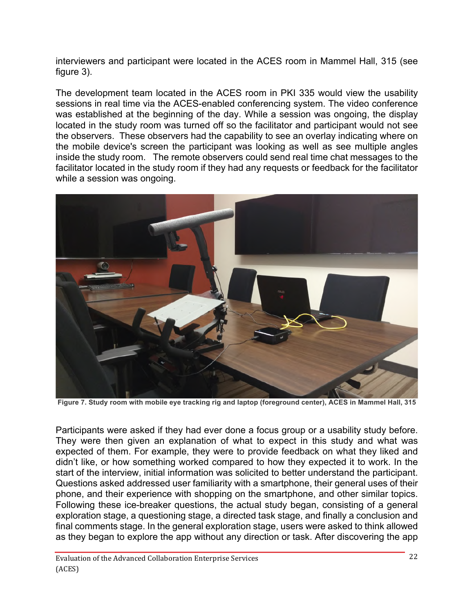interviewers and participant were located in the ACES room in Mammel Hall, 315 (see figure 3).

The development team located in the ACES room in PKI 335 would view the usability sessions in real time via the ACES-enabled conferencing system. The video conference was established at the beginning of the day. While a session was ongoing, the display located in the study room was turned off so the facilitator and participant would not see the observers. These observers had the capability to see an overlay indicating where on the mobile device's screen the participant was looking as well as see multiple angles inside the study room. The remote observers could send real time chat messages to the facilitator located in the study room if they had any requests or feedback for the facilitator while a session was ongoing.



**Figure 7. Study room with mobile eye tracking rig and laptop (foreground center), ACES in Mammel Hall, 315**

Participants were asked if they had ever done a focus group or a usability study before. They were then given an explanation of what to expect in this study and what was expected of them. For example, they were to provide feedback on what they liked and didn't like, or how something worked compared to how they expected it to work. In the start of the interview, initial information was solicited to better understand the participant. Questions asked addressed user familiarity with a smartphone, their general uses of their phone, and their experience with shopping on the smartphone, and other similar topics. Following these ice-breaker questions, the actual study began, consisting of a general exploration stage, a questioning stage, a directed task stage, and finally a conclusion and final comments stage. In the general exploration stage, users were asked to think allowed as they began to explore the app without any direction or task. After discovering the app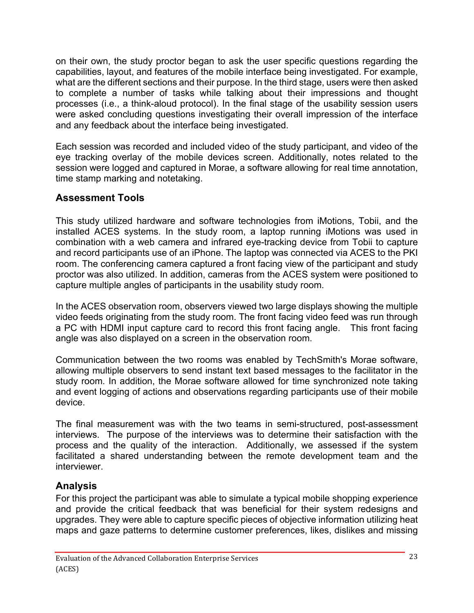on their own, the study proctor began to ask the user specific questions regarding the capabilities, layout, and features of the mobile interface being investigated. For example, what are the different sections and their purpose. In the third stage, users were then asked to complete a number of tasks while talking about their impressions and thought processes (i.e., a think-aloud protocol). In the final stage of the usability session users were asked concluding questions investigating their overall impression of the interface and any feedback about the interface being investigated.

Each session was recorded and included video of the study participant, and video of the eye tracking overlay of the mobile devices screen. Additionally, notes related to the session were logged and captured in Morae, a software allowing for real time annotation, time stamp marking and notetaking.

### **Assessment Tools**

This study utilized hardware and software technologies from iMotions, Tobii, and the installed ACES systems. In the study room, a laptop running iMotions was used in combination with a web camera and infrared eye-tracking device from Tobii to capture and record participants use of an iPhone. The laptop was connected via ACES to the PKI room. The conferencing camera captured a front facing view of the participant and study proctor was also utilized. In addition, cameras from the ACES system were positioned to capture multiple angles of participants in the usability study room.

In the ACES observation room, observers viewed two large displays showing the multiple video feeds originating from the study room. The front facing video feed was run through a PC with HDMI input capture card to record this front facing angle. This front facing angle was also displayed on a screen in the observation room.

Communication between the two rooms was enabled by TechSmith's Morae software, allowing multiple observers to send instant text based messages to the facilitator in the study room. In addition, the Morae software allowed for time synchronized note taking and event logging of actions and observations regarding participants use of their mobile device.

The final measurement was with the two teams in semi-structured, post-assessment interviews. The purpose of the interviews was to determine their satisfaction with the process and the quality of the interaction. Additionally, we assessed if the system facilitated a shared understanding between the remote development team and the interviewer.

#### **Analysis**

For this project the participant was able to simulate a typical mobile shopping experience and provide the critical feedback that was beneficial for their system redesigns and upgrades. They were able to capture specific pieces of objective information utilizing heat maps and gaze patterns to determine customer preferences, likes, dislikes and missing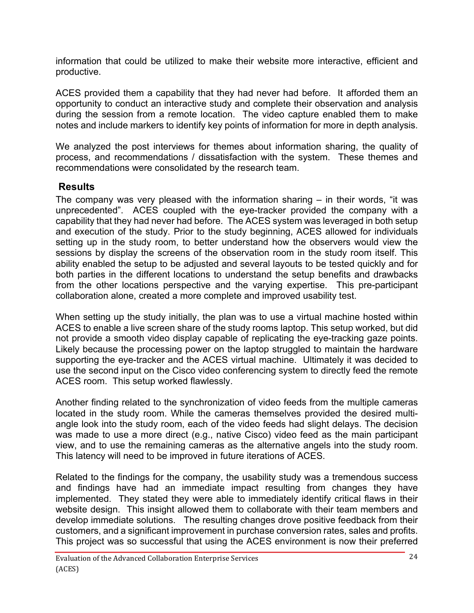information that could be utilized to make their website more interactive, efficient and productive.

ACES provided them a capability that they had never had before. It afforded them an opportunity to conduct an interactive study and complete their observation and analysis during the session from a remote location. The video capture enabled them to make notes and include markers to identify key points of information for more in depth analysis.

We analyzed the post interviews for themes about information sharing, the quality of process, and recommendations / dissatisfaction with the system. These themes and recommendations were consolidated by the research team.

### **Results**

The company was very pleased with the information sharing – in their words, "it was unprecedented". ACES coupled with the eye-tracker provided the company with a capability that they had never had before. The ACES system was leveraged in both setup and execution of the study. Prior to the study beginning, ACES allowed for individuals setting up in the study room, to better understand how the observers would view the sessions by display the screens of the observation room in the study room itself. This ability enabled the setup to be adjusted and several layouts to be tested quickly and for both parties in the different locations to understand the setup benefits and drawbacks from the other locations perspective and the varying expertise. This pre-participant collaboration alone, created a more complete and improved usability test.

When setting up the study initially, the plan was to use a virtual machine hosted within ACES to enable a live screen share of the study rooms laptop. This setup worked, but did not provide a smooth video display capable of replicating the eye-tracking gaze points. Likely because the processing power on the laptop struggled to maintain the hardware supporting the eye-tracker and the ACES virtual machine. Ultimately it was decided to use the second input on the Cisco video conferencing system to directly feed the remote ACES room. This setup worked flawlessly.

Another finding related to the synchronization of video feeds from the multiple cameras located in the study room. While the cameras themselves provided the desired multiangle look into the study room, each of the video feeds had slight delays. The decision was made to use a more direct (e.g., native Cisco) video feed as the main participant view, and to use the remaining cameras as the alternative angels into the study room. This latency will need to be improved in future iterations of ACES.

Related to the findings for the company, the usability study was a tremendous success and findings have had an immediate impact resulting from changes they have implemented. They stated they were able to immediately identify critical flaws in their website design. This insight allowed them to collaborate with their team members and develop immediate solutions. The resulting changes drove positive feedback from their customers, and a significant improvement in purchase conversion rates, sales and profits. This project was so successful that using the ACES environment is now their preferred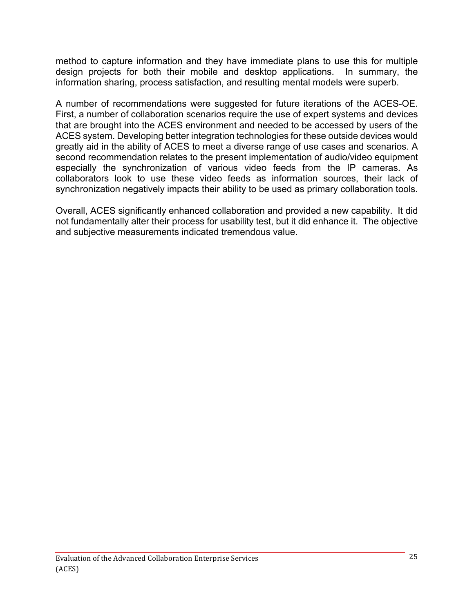method to capture information and they have immediate plans to use this for multiple design projects for both their mobile and desktop applications. In summary, the information sharing, process satisfaction, and resulting mental models were superb.

A number of recommendations were suggested for future iterations of the ACES-OE. First, a number of collaboration scenarios require the use of expert systems and devices that are brought into the ACES environment and needed to be accessed by users of the ACES system. Developing better integration technologies for these outside devices would greatly aid in the ability of ACES to meet a diverse range of use cases and scenarios. A second recommendation relates to the present implementation of audio/video equipment especially the synchronization of various video feeds from the IP cameras. As collaborators look to use these video feeds as information sources, their lack of synchronization negatively impacts their ability to be used as primary collaboration tools.

Overall, ACES significantly enhanced collaboration and provided a new capability. It did not fundamentally alter their process for usability test, but it did enhance it. The objective and subjective measurements indicated tremendous value.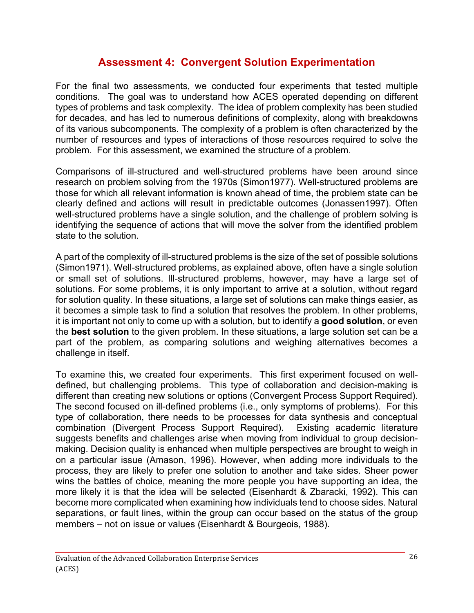### **Assessment 4: Convergent Solution Experimentation**

For the final two assessments, we conducted four experiments that tested multiple conditions. The goal was to understand how ACES operated depending on different types of problems and task complexity. The idea of problem complexity has been studied for decades, and has led to numerous definitions of complexity, along with breakdowns of its various subcomponents. The complexity of a problem is often characterized by the number of resources and types of interactions of those resources required to solve the problem. For this assessment, we examined the structure of a problem.

Comparisons of ill-structured and well-structured problems have been around since research on problem solving from the 1970s (Simon1977). Well-structured problems are those for which all relevant information is known ahead of time, the problem state can be clearly defined and actions will result in predictable outcomes (Jonassen1997). Often well-structured problems have a single solution, and the challenge of problem solving is identifying the sequence of actions that will move the solver from the identified problem state to the solution.

A part of the complexity of ill-structured problems is the size of the set of possible solutions (Simon1971). Well-structured problems, as explained above, often have a single solution or small set of solutions. Ill-structured problems, however, may have a large set of solutions. For some problems, it is only important to arrive at a solution, without regard for solution quality. In these situations, a large set of solutions can make things easier, as it becomes a simple task to find a solution that resolves the problem. In other problems, it is important not only to come up with a solution, but to identify a **good solution**, or even the **best solution** to the given problem. In these situations, a large solution set can be a part of the problem, as comparing solutions and weighing alternatives becomes a challenge in itself.

To examine this, we created four experiments. This first experiment focused on welldefined, but challenging problems. This type of collaboration and decision-making is different than creating new solutions or options (Convergent Process Support Required). The second focused on ill-defined problems (i.e., only symptoms of problems). For this type of collaboration, there needs to be processes for data synthesis and conceptual combination (Divergent Process Support Required). Existing academic literature suggests benefits and challenges arise when moving from individual to group decisionmaking. Decision quality is enhanced when multiple perspectives are brought to weigh in on a particular issue (Amason, 1996). However, when adding more individuals to the process, they are likely to prefer one solution to another and take sides. Sheer power wins the battles of choice, meaning the more people you have supporting an idea, the more likely it is that the idea will be selected (Eisenhardt & Zbaracki, 1992). This can become more complicated when examining how individuals tend to choose sides. Natural separations, or fault lines, within the group can occur based on the status of the group members – not on issue or values (Eisenhardt & Bourgeois, 1988).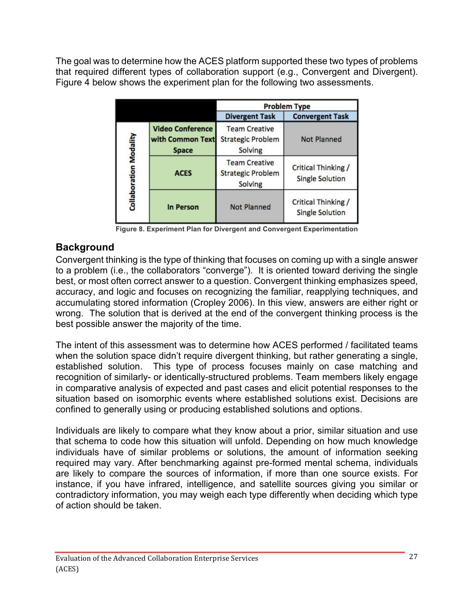The goal was to determine how the ACES platform supported these two types of problems that required different types of collaboration support (e.g., Convergent and Divergent). Figure 4 below shows the experiment plan for the following two assessments.

|                        |                                                             | <b>Problem Type</b>                                         |                                                      |  |  |
|------------------------|-------------------------------------------------------------|-------------------------------------------------------------|------------------------------------------------------|--|--|
|                        |                                                             | <b>Divergent Task</b>                                       | <b>Convergent Task</b>                               |  |  |
|                        | <b>Video Conference</b><br>with Common Text<br><b>Space</b> | <b>Team Creative</b><br><b>Strategic Problem</b><br>Solving | <b>Not Planned</b>                                   |  |  |
| Collaboration Modality | <b>ACES</b>                                                 | <b>Team Creative</b><br><b>Strategic Problem</b><br>Solving | <b>Critical Thinking /</b><br><b>Single Solution</b> |  |  |
|                        | In Person                                                   | <b>Not Planned</b>                                          | Critical Thinking /<br><b>Single Solution</b>        |  |  |

**Figure 8. Experiment Plan for Divergent and Convergent Experimentation**

### **Background**

Convergent thinking is the type of thinking that focuses on coming up with a single answer to a problem (i.e., the collaborators "converge"). It is oriented toward deriving the single best, or most often correct answer to a question. Convergent thinking emphasizes speed, accuracy, and logic and focuses on recognizing the familiar, reapplying techniques, and accumulating stored information (Cropley 2006). In this view, answers are either right or wrong. The solution that is derived at the end of the convergent thinking process is the best possible answer the majority of the time.

The intent of this assessment was to determine how ACES performed / facilitated teams when the solution space didn't require divergent thinking, but rather generating a single, established solution. This type of process focuses mainly on case matching and recognition of similarly- or identically-structured problems. Team members likely engage in comparative analysis of expected and past cases and elicit potential responses to the situation based on isomorphic events where established solutions exist. Decisions are confined to generally using or producing established solutions and options.

Individuals are likely to compare what they know about a prior, similar situation and use that schema to code how this situation will unfold. Depending on how much knowledge individuals have of similar problems or solutions, the amount of information seeking required may vary. After benchmarking against pre-formed mental schema, individuals are likely to compare the sources of information, if more than one source exists. For instance, if you have infrared, intelligence, and satellite sources giving you similar or contradictory information, you may weigh each type differently when deciding which type of action should be taken.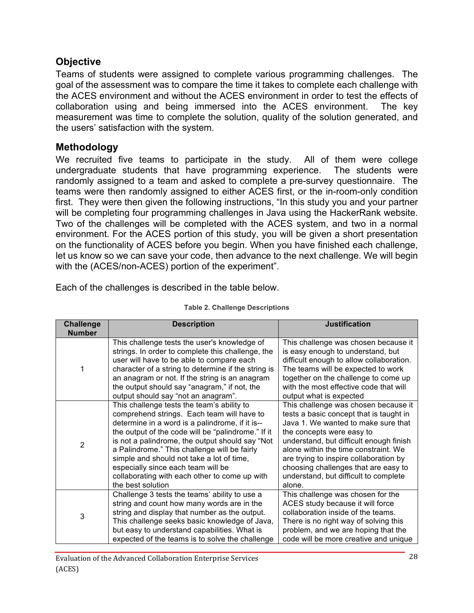#### **Objective**

Teams of students were assigned to complete various programming challenges. The goal of the assessment was to compare the time it takes to complete each challenge with the ACES environment and without the ACES environment in order to test the effects of collaboration using and being immersed into the ACES environment. The key measurement was time to complete the solution, quality of the solution generated, and the users' satisfaction with the system.

#### **Methodology**

We recruited five teams to participate in the study. All of them were college undergraduate students that have programming experience. The students were randomly assigned to a team and asked to complete a pre-survey questionnaire. The teams were then randomly assigned to either ACES first, or the in-room-only condition first. They were then given the following instructions, "In this study you and your partner will be completing four programming challenges in Java using the HackerRank website. Two of the challenges will be completed with the ACES system, and two in a normal environment. For the ACES portion of this study, you will be given a short presentation on the functionality of ACES before you begin. When you have finished each challenge, let us know so we can save your code, then advance to the next challenge. We will begin with the (ACES/non-ACES) portion of the experiment".

Each of the challenges is described in the table below.

| <b>Challenge</b><br><b>Number</b> | <b>Description</b>                                                                                                                                                                                                                                                                                                                                                                                                                                            | <b>Justification</b>                                                                                                                                                                                                                                                                                                                                                        |
|-----------------------------------|---------------------------------------------------------------------------------------------------------------------------------------------------------------------------------------------------------------------------------------------------------------------------------------------------------------------------------------------------------------------------------------------------------------------------------------------------------------|-----------------------------------------------------------------------------------------------------------------------------------------------------------------------------------------------------------------------------------------------------------------------------------------------------------------------------------------------------------------------------|
| 1                                 | This challenge tests the user's knowledge of<br>strings. In order to complete this challenge, the<br>user will have to be able to compare each<br>character of a string to determine if the string is<br>an anagram or not. If the string is an anagram<br>the output should say "anagram," if not, the<br>output should say "not an anagram".                                                                                                                | This challenge was chosen because it<br>is easy enough to understand, but<br>difficult enough to allow collaboration.<br>The teams will be expected to work<br>together on the challenge to come up<br>with the most effective code that will<br>output what is expected                                                                                                    |
| $\overline{2}$                    | This challenge tests the team's ability to<br>comprehend strings. Each team will have to<br>determine in a word is a palindrome, if it is--<br>the output of the code will be "palindrome." If it<br>is not a palindrome, the output should say "Not<br>a Palindrome." This challenge will be fairly<br>simple and should not take a lot of time,<br>especially since each team will be<br>collaborating with each other to come up with<br>the best solution | This challenge was chosen because it<br>tests a basic concept that is taught in<br>Java 1. We wanted to make sure that<br>the concepts were easy to<br>understand, but difficult enough finish<br>alone within the time constraint. We<br>are trying to inspire collaboration by<br>choosing challenges that are easy to<br>understand, but difficult to complete<br>alone. |
| 3                                 | Challenge 3 tests the teams' ability to use a<br>string and count how many words are in the<br>string and display that number as the output.<br>This challenge seeks basic knowledge of Java,<br>but easy to understand capabilities. What is<br>expected of the teams is to solve the challenge                                                                                                                                                              | This challenge was chosen for the<br>ACES study because it will force<br>collaboration inside of the teams.<br>There is no right way of solving this<br>problem, and we are hoping that the<br>code will be more creative and unique                                                                                                                                        |

#### **Table 2. Challenge Descriptions**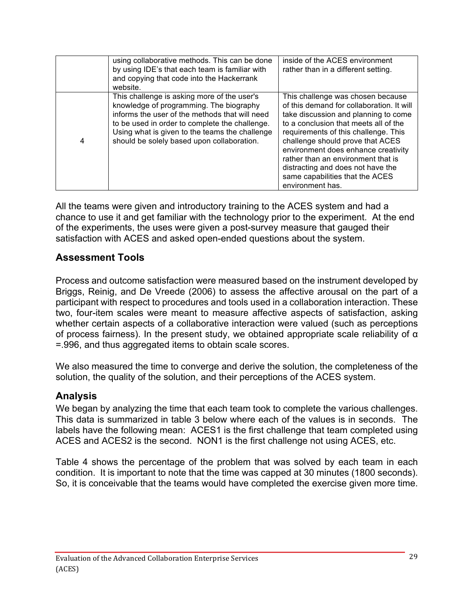|   | using collaborative methods. This can be done<br>by using IDE's that each team is familiar with<br>and copying that code into the Hackerrank<br>website.                                                                                                                                   | inside of the ACES environment<br>rather than in a different setting.                                                                                                                                                                                                                                                                                                                                                |
|---|--------------------------------------------------------------------------------------------------------------------------------------------------------------------------------------------------------------------------------------------------------------------------------------------|----------------------------------------------------------------------------------------------------------------------------------------------------------------------------------------------------------------------------------------------------------------------------------------------------------------------------------------------------------------------------------------------------------------------|
| 4 | This challenge is asking more of the user's<br>knowledge of programming. The biography<br>informs the user of the methods that will need<br>to be used in order to complete the challenge.<br>Using what is given to the teams the challenge<br>should be solely based upon collaboration. | This challenge was chosen because<br>of this demand for collaboration. It will<br>take discussion and planning to come<br>to a conclusion that meets all of the<br>requirements of this challenge. This<br>challenge should prove that ACES<br>environment does enhance creativity<br>rather than an environment that is<br>distracting and does not have the<br>same capabilities that the ACES<br>environment has. |

All the teams were given and introductory training to the ACES system and had a chance to use it and get familiar with the technology prior to the experiment. At the end of the experiments, the uses were given a post-survey measure that gauged their satisfaction with ACES and asked open-ended questions about the system.

#### **Assessment Tools**

Process and outcome satisfaction were measured based on the instrument developed by Briggs, Reinig, and De Vreede (2006) to assess the affective arousal on the part of a participant with respect to procedures and tools used in a collaboration interaction. These two, four-item scales were meant to measure affective aspects of satisfaction, asking whether certain aspects of a collaborative interaction were valued (such as perceptions of process fairness). In the present study, we obtained appropriate scale reliability of α =.996, and thus aggregated items to obtain scale scores.

We also measured the time to converge and derive the solution, the completeness of the solution, the quality of the solution, and their perceptions of the ACES system.

#### **Analysis**

We began by analyzing the time that each team took to complete the various challenges. This data is summarized in table 3 below where each of the values is in seconds. The labels have the following mean: ACES1 is the first challenge that team completed using ACES and ACES2 is the second. NON1 is the first challenge not using ACES, etc.

Table 4 shows the percentage of the problem that was solved by each team in each condition. It is important to note that the time was capped at 30 minutes (1800 seconds). So, it is conceivable that the teams would have completed the exercise given more time.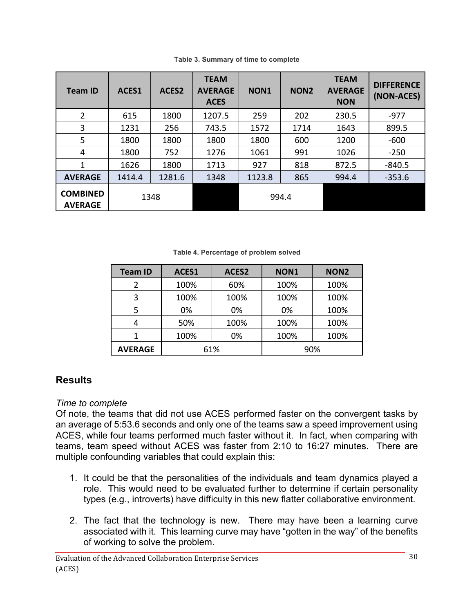| <b>Team ID</b>                    | ACES1  | ACES2  | <b>TEAM</b><br><b>AVERAGE</b><br><b>ACES</b> | NON1   | NON <sub>2</sub> | <b>TEAM</b><br><b>AVERAGE</b><br><b>NON</b> | <b>DIFFERENCE</b><br>(NON-ACES) |
|-----------------------------------|--------|--------|----------------------------------------------|--------|------------------|---------------------------------------------|---------------------------------|
| $\overline{2}$                    | 615    | 1800   | 1207.5                                       | 259    | 202              | 230.5                                       | $-977$                          |
| 3                                 | 1231   | 256    | 743.5                                        | 1572   | 1714             | 1643                                        | 899.5                           |
| 5                                 | 1800   | 1800   | 1800                                         | 1800   | 600              | 1200                                        | $-600$                          |
| 4                                 | 1800   | 752    | 1276                                         | 1061   | 991              | 1026                                        | $-250$                          |
| 1                                 | 1626   | 1800   | 1713                                         | 927    | 818              | 872.5                                       | $-840.5$                        |
| <b>AVERAGE</b>                    | 1414.4 | 1281.6 | 1348                                         | 1123.8 | 865              | 994.4                                       | $-353.6$                        |
| <b>COMBINED</b><br><b>AVERAGE</b> |        | 1348   |                                              |        | 994.4            |                                             |                                 |

**Table 3. Summary of time to complete**

**Table 4. Percentage of problem solved**

| <b>Team ID</b> | ACES1 | ACES2 | NON <sub>1</sub> | NON <sub>2</sub> |
|----------------|-------|-------|------------------|------------------|
|                | 100%  | 60%   | 100%             | 100%             |
| 3              | 100%  | 100%  | 100%             | 100%             |
| 5              | 0%    | 0%    | 0%               | 100%             |
|                | 50%   | 100%  | 100%             | 100%             |
|                | 100%  | 0%    | 100%             | 100%             |
| <b>AVERAGE</b> | 61%   |       |                  | 90%              |

### **Results**

#### *Time to complete*

Of note, the teams that did not use ACES performed faster on the convergent tasks by an average of 5:53.6 seconds and only one of the teams saw a speed improvement using ACES, while four teams performed much faster without it. In fact, when comparing with teams, team speed without ACES was faster from 2:10 to 16:27 minutes. There are multiple confounding variables that could explain this:

- 1. It could be that the personalities of the individuals and team dynamics played a role. This would need to be evaluated further to determine if certain personality types (e.g., introverts) have difficulty in this new flatter collaborative environment.
- 2. The fact that the technology is new. There may have been a learning curve associated with it. This learning curve may have "gotten in the way" of the benefits of working to solve the problem.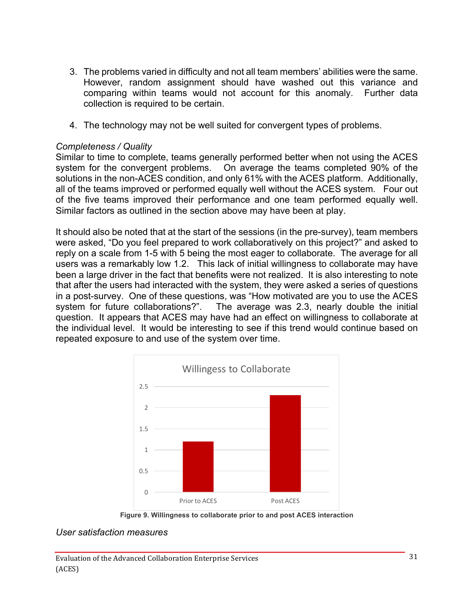- 3. The problems varied in difficulty and not all team members' abilities were the same. However, random assignment should have washed out this variance and comparing within teams would not account for this anomaly. Further data collection is required to be certain.
- 4. The technology may not be well suited for convergent types of problems.

#### *Completeness / Quality*

Similar to time to complete, teams generally performed better when not using the ACES system for the convergent problems. On average the teams completed 90% of the solutions in the non-ACES condition, and only 61% with the ACES platform. Additionally, all of the teams improved or performed equally well without the ACES system. Four out of the five teams improved their performance and one team performed equally well. Similar factors as outlined in the section above may have been at play.

It should also be noted that at the start of the sessions (in the pre-survey), team members were asked, "Do you feel prepared to work collaboratively on this project?" and asked to reply on a scale from 1-5 with 5 being the most eager to collaborate. The average for all users was a remarkably low 1.2. This lack of initial willingness to collaborate may have been a large driver in the fact that benefits were not realized. It is also interesting to note that after the users had interacted with the system, they were asked a series of questions in a post-survey. One of these questions, was "How motivated are you to use the ACES system for future collaborations?". The average was 2.3, nearly double the initial question. It appears that ACES may have had an effect on willingness to collaborate at the individual level. It would be interesting to see if this trend would continue based on repeated exposure to and use of the system over time.





#### *User satisfaction measures*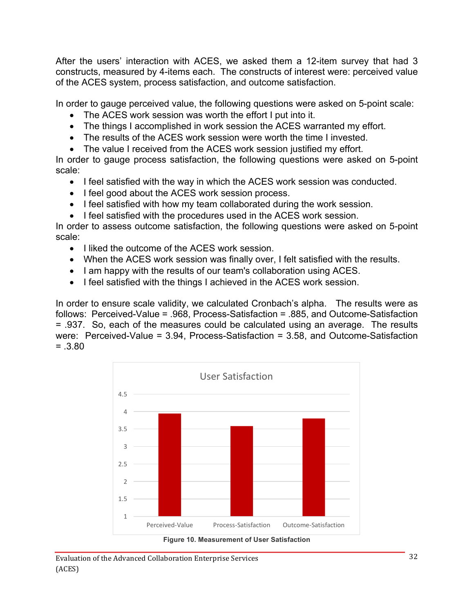After the users' interaction with ACES, we asked them a 12-item survey that had 3 constructs, measured by 4-items each. The constructs of interest were: perceived value of the ACES system, process satisfaction, and outcome satisfaction.

In order to gauge perceived value, the following questions were asked on 5-point scale:

- The ACES work session was worth the effort I put into it.
- The things I accomplished in work session the ACES warranted my effort.
- The results of the ACES work session were worth the time I invested.
- The value I received from the ACES work session justified my effort.

In order to gauge process satisfaction, the following questions were asked on 5-point scale:

- I feel satisfied with the way in which the ACES work session was conducted.
- I feel good about the ACES work session process.
- I feel satisfied with how my team collaborated during the work session.
- I feel satisfied with the procedures used in the ACES work session.

In order to assess outcome satisfaction, the following questions were asked on 5-point scale:

- I liked the outcome of the ACES work session.
- When the ACES work session was finally over, I felt satisfied with the results.
- I am happy with the results of our team's collaboration using ACES.
- I feel satisfied with the things I achieved in the ACES work session.

In order to ensure scale validity, we calculated Cronbach's alpha. The results were as follows: Perceived-Value = .968, Process-Satisfaction = .885, and Outcome-Satisfaction = .937. So, each of the measures could be calculated using an average. The results were: Perceived-Value = 3.94, Process-Satisfaction = 3.58, and Outcome-Satisfaction  $=.3.80$ 



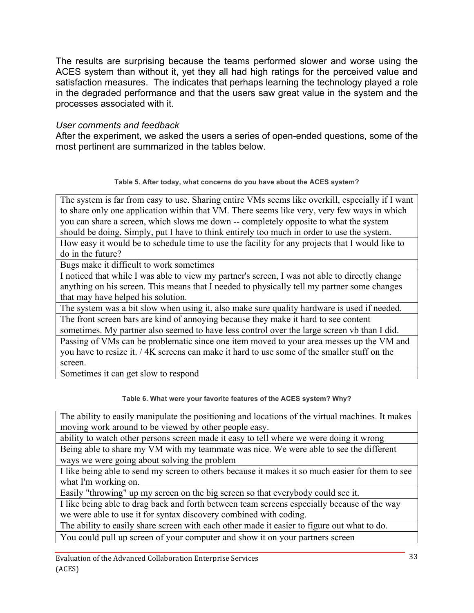The results are surprising because the teams performed slower and worse using the ACES system than without it, yet they all had high ratings for the perceived value and satisfaction measures. The indicates that perhaps learning the technology played a role in the degraded performance and that the users saw great value in the system and the processes associated with it.

#### *User comments and feedback*

After the experiment, we asked the users a series of open-ended questions, some of the most pertinent are summarized in the tables below.

#### **Table 5. After today, what concerns do you have about the ACES system?**

The system is far from easy to use. Sharing entire VMs seems like overkill, especially if I want to share only one application within that VM. There seems like very, very few ways in which you can share a screen, which slows me down -- completely opposite to what the system should be doing. Simply, put I have to think entirely too much in order to use the system.

How easy it would be to schedule time to use the facility for any projects that I would like to do in the future?

Bugs make it difficult to work sometimes

I noticed that while I was able to view my partner's screen, I was not able to directly change anything on his screen. This means that I needed to physically tell my partner some changes that may have helped his solution.

The system was a bit slow when using it, also make sure quality hardware is used if needed. The front screen bars are kind of annoying because they make it hard to see content

sometimes. My partner also seemed to have less control over the large screen vb than I did.

Passing of VMs can be problematic since one item moved to your area messes up the VM and you have to resize it. / 4K screens can make it hard to use some of the smaller stuff on the screen.

Sometimes it can get slow to respond

#### **Table 6. What were your favorite features of the ACES system? Why?**

The ability to easily manipulate the positioning and locations of the virtual machines. It makes moving work around to be viewed by other people easy.

ability to watch other persons screen made it easy to tell where we were doing it wrong

Being able to share my VM with my teammate was nice. We were able to see the different ways we were going about solving the problem

I like being able to send my screen to others because it makes it so much easier for them to see what I'm working on.

Easily "throwing" up my screen on the big screen so that everybody could see it.

I like being able to drag back and forth between team screens especially because of the way we were able to use it for syntax discovery combined with coding.

The ability to easily share screen with each other made it easier to figure out what to do.

You could pull up screen of your computer and show it on your partners screen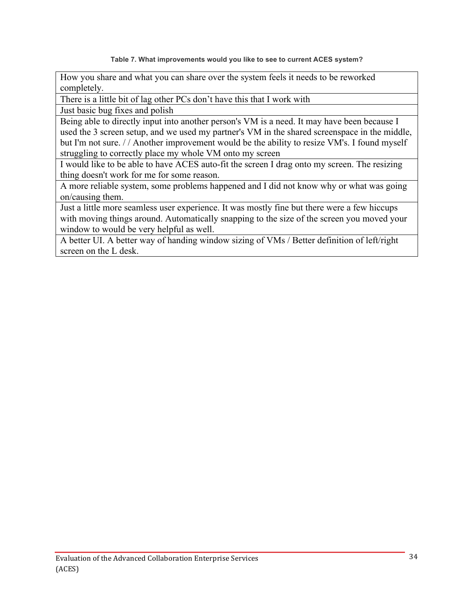**Table 7. What improvements would you like to see to current ACES system?**

How you share and what you can share over the system feels it needs to be reworked completely.

There is a little bit of lag other PCs don't have this that I work with

Just basic bug fixes and polish

Being able to directly input into another person's VM is a need. It may have been because I used the 3 screen setup, and we used my partner's VM in the shared screenspace in the middle, but I'm not sure. // Another improvement would be the ability to resize VM's. I found myself struggling to correctly place my whole VM onto my screen

I would like to be able to have ACES auto-fit the screen I drag onto my screen. The resizing thing doesn't work for me for some reason.

A more reliable system, some problems happened and I did not know why or what was going on/causing them.

Just a little more seamless user experience. It was mostly fine but there were a few hiccups with moving things around. Automatically snapping to the size of the screen you moved your window to would be very helpful as well.

A better UI. A better way of handing window sizing of VMs / Better definition of left/right screen on the L desk.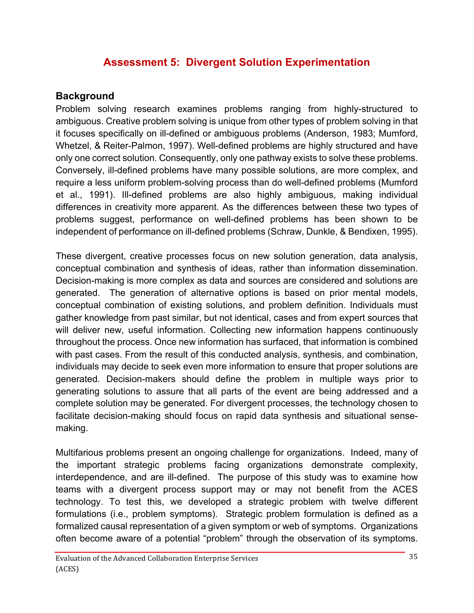### **Assessment 5: Divergent Solution Experimentation**

#### **Background**

Problem solving research examines problems ranging from highly-structured to ambiguous. Creative problem solving is unique from other types of problem solving in that it focuses specifically on ill-defined or ambiguous problems (Anderson, 1983; Mumford, Whetzel, & Reiter-Palmon, 1997). Well-defined problems are highly structured and have only one correct solution. Consequently, only one pathway exists to solve these problems. Conversely, ill-defined problems have many possible solutions, are more complex, and require a less uniform problem-solving process than do well-defined problems (Mumford et al., 1991). Ill-defined problems are also highly ambiguous, making individual differences in creativity more apparent. As the differences between these two types of problems suggest, performance on well-defined problems has been shown to be independent of performance on ill-defined problems (Schraw, Dunkle, & Bendixen, 1995).

These divergent, creative processes focus on new solution generation, data analysis, conceptual combination and synthesis of ideas, rather than information dissemination. Decision-making is more complex as data and sources are considered and solutions are generated. The generation of alternative options is based on prior mental models, conceptual combination of existing solutions, and problem definition. Individuals must gather knowledge from past similar, but not identical, cases and from expert sources that will deliver new, useful information. Collecting new information happens continuously throughout the process. Once new information has surfaced, that information is combined with past cases. From the result of this conducted analysis, synthesis, and combination, individuals may decide to seek even more information to ensure that proper solutions are generated. Decision-makers should define the problem in multiple ways prior to generating solutions to assure that all parts of the event are being addressed and a complete solution may be generated. For divergent processes, the technology chosen to facilitate decision-making should focus on rapid data synthesis and situational sensemaking.

Multifarious problems present an ongoing challenge for organizations. Indeed, many of the important strategic problems facing organizations demonstrate complexity, interdependence, and are ill-defined. The purpose of this study was to examine how teams with a divergent process support may or may not benefit from the ACES technology. To test this, we developed a strategic problem with twelve different formulations (i.e., problem symptoms). Strategic problem formulation is defined as a formalized causal representation of a given symptom or web of symptoms. Organizations often become aware of a potential "problem" through the observation of its symptoms.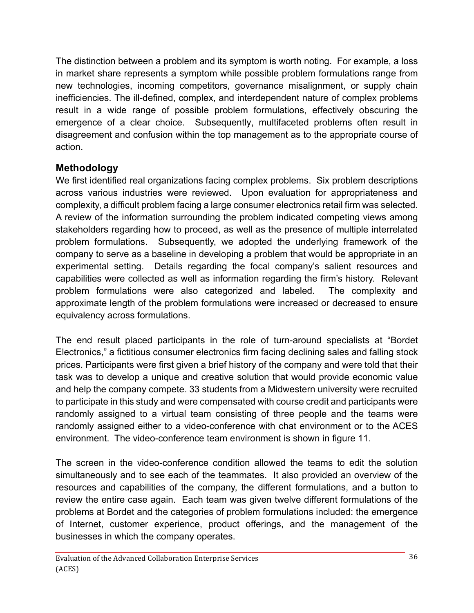The distinction between a problem and its symptom is worth noting. For example, a loss in market share represents a symptom while possible problem formulations range from new technologies, incoming competitors, governance misalignment, or supply chain inefficiencies. The ill-defined, complex, and interdependent nature of complex problems result in a wide range of possible problem formulations, effectively obscuring the emergence of a clear choice. Subsequently, multifaceted problems often result in disagreement and confusion within the top management as to the appropriate course of action.

#### **Methodology**

We first identified real organizations facing complex problems. Six problem descriptions across various industries were reviewed. Upon evaluation for appropriateness and complexity, a difficult problem facing a large consumer electronics retail firm was selected. A review of the information surrounding the problem indicated competing views among stakeholders regarding how to proceed, as well as the presence of multiple interrelated problem formulations. Subsequently, we adopted the underlying framework of the company to serve as a baseline in developing a problem that would be appropriate in an experimental setting. Details regarding the focal company's salient resources and capabilities were collected as well as information regarding the firm's history. Relevant problem formulations were also categorized and labeled. The complexity and approximate length of the problem formulations were increased or decreased to ensure equivalency across formulations.

The end result placed participants in the role of turn-around specialists at "Bordet Electronics," a fictitious consumer electronics firm facing declining sales and falling stock prices. Participants were first given a brief history of the company and were told that their task was to develop a unique and creative solution that would provide economic value and help the company compete. 33 students from a Midwestern university were recruited to participate in this study and were compensated with course credit and participants were randomly assigned to a virtual team consisting of three people and the teams were randomly assigned either to a video-conference with chat environment or to the ACES environment. The video-conference team environment is shown in figure 11.

The screen in the video-conference condition allowed the teams to edit the solution simultaneously and to see each of the teammates. It also provided an overview of the resources and capabilities of the company, the different formulations, and a button to review the entire case again. Each team was given twelve different formulations of the problems at Bordet and the categories of problem formulations included: the emergence of Internet, customer experience, product offerings, and the management of the businesses in which the company operates.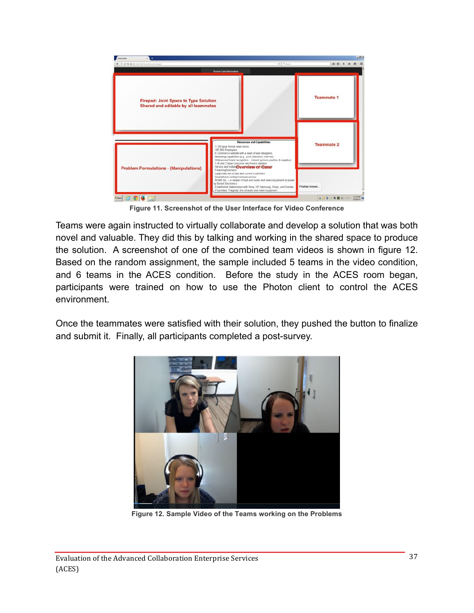

**Figure 11. Screenshot of the User Interface for Video Conference**

Teams were again instructed to virtually collaborate and develop a solution that was both novel and valuable. They did this by talking and working in the shared space to produce the solution. A screenshot of one of the combined team videos is shown in figure 12. Based on the random assignment, the sample included 5 teams in the video condition, and 6 teams in the ACES condition. Before the study in the ACES room began, participants were trained on how to use the Photon client to control the ACES environment.

Once the teammates were satisfied with their solution, they pushed the button to finalize and submit it. Finally, all participants completed a post-survey.



**Figure 12. Sample Video of the Teams working on the Problems**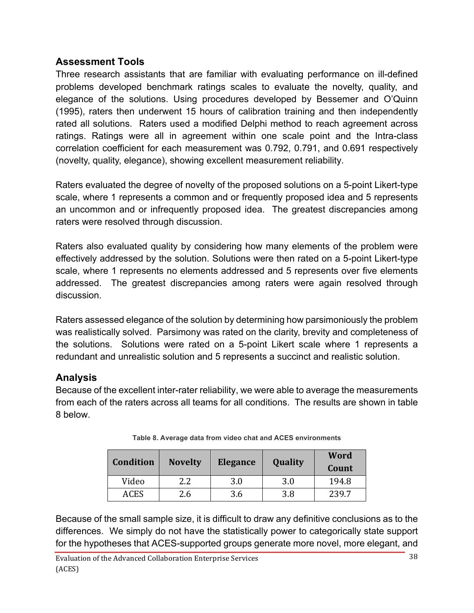#### **Assessment Tools**

Three research assistants that are familiar with evaluating performance on ill-defined problems developed benchmark ratings scales to evaluate the novelty, quality, and elegance of the solutions. Using procedures developed by Bessemer and O'Quinn (1995), raters then underwent 15 hours of calibration training and then independently rated all solutions. Raters used a modified Delphi method to reach agreement across ratings. Ratings were all in agreement within one scale point and the Intra-class correlation coefficient for each measurement was 0.792, 0.791, and 0.691 respectively (novelty, quality, elegance), showing excellent measurement reliability.

Raters evaluated the degree of novelty of the proposed solutions on a 5-point Likert-type scale, where 1 represents a common and or frequently proposed idea and 5 represents an uncommon and or infrequently proposed idea. The greatest discrepancies among raters were resolved through discussion.

Raters also evaluated quality by considering how many elements of the problem were effectively addressed by the solution. Solutions were then rated on a 5-point Likert-type scale, where 1 represents no elements addressed and 5 represents over five elements addressed. The greatest discrepancies among raters were again resolved through discussion.

Raters assessed elegance of the solution by determining how parsimoniously the problem was realistically solved. Parsimony was rated on the clarity, brevity and completeness of the solutions. Solutions were rated on a 5-point Likert scale where 1 represents a redundant and unrealistic solution and 5 represents a succinct and realistic solution.

### **Analysis**

Because of the excellent inter-rater reliability, we were able to average the measurements from each of the raters across all teams for all conditions. The results are shown in table 8 below.

| <b>Condition</b> | <b>Novelty</b> | Elegance | Quality | Word<br>Count |
|------------------|----------------|----------|---------|---------------|
| Video            | 2.2            | 3.0      | 3.0     | 194.8         |
| ACES             | 2.6            | 3.6      | 3.8     | 239.7         |

**Table 8. Average data from video chat and ACES environments**

Because of the small sample size, it is difficult to draw any definitive conclusions as to the differences. We simply do not have the statistically power to categorically state support for the hypotheses that ACES-supported groups generate more novel, more elegant, and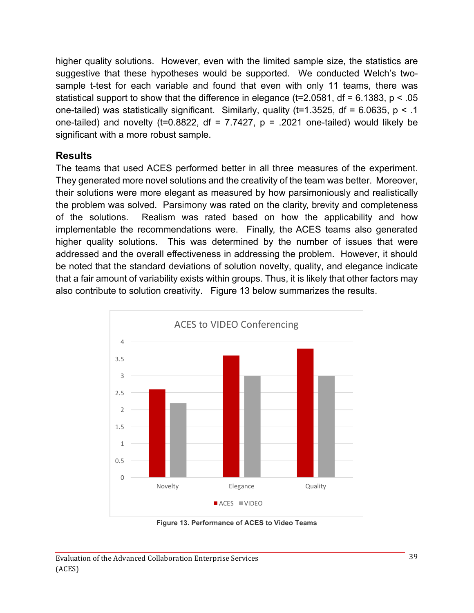higher quality solutions. However, even with the limited sample size, the statistics are suggestive that these hypotheses would be supported. We conducted Welch's twosample t-test for each variable and found that even with only 11 teams, there was statistical support to show that the difference in elegance ( $t=2.0581$ , df = 6.1383, p < .05 one-tailed) was statistically significant. Similarly, quality ( $t=1.3525$ , df = 6.0635, p < .1 one-tailed) and novelty (t=0.8822, df =  $7.7427$ , p = .2021 one-tailed) would likely be significant with a more robust sample.

#### **Results**

The teams that used ACES performed better in all three measures of the experiment. They generated more novel solutions and the creativity of the team was better. Moreover, their solutions were more elegant as measured by how parsimoniously and realistically the problem was solved. Parsimony was rated on the clarity, brevity and completeness of the solutions. Realism was rated based on how the applicability and how implementable the recommendations were. Finally, the ACES teams also generated higher quality solutions. This was determined by the number of issues that were addressed and the overall effectiveness in addressing the problem. However, it should be noted that the standard deviations of solution novelty, quality, and elegance indicate that a fair amount of variability exists within groups. Thus, it is likely that other factors may also contribute to solution creativity. Figure 13 below summarizes the results.



**Figure 13. Performance of ACES to Video Teams**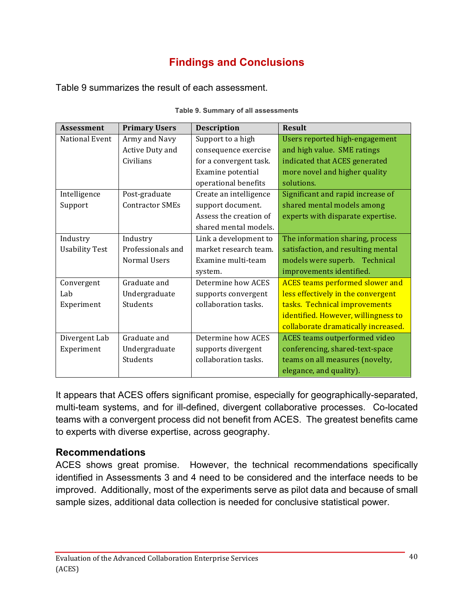## **Findings and Conclusions**

Table 9 summarizes the result of each assessment.

| <b>Assessment</b>     | <b>Primary Users</b>   | <b>Description</b>     | <b>Result</b>                          |
|-----------------------|------------------------|------------------------|----------------------------------------|
| National Event        | Army and Navy          | Support to a high      | Users reported high-engagement         |
|                       | Active Duty and        | consequence exercise   | and high value. SME ratings            |
|                       | Civilians              | for a convergent task. | indicated that ACES generated          |
|                       |                        | Examine potential      | more novel and higher quality          |
|                       |                        | operational benefits   | solutions.                             |
| Intelligence          | Post-graduate          | Create an intelligence | Significant and rapid increase of      |
| Support               | <b>Contractor SMEs</b> | support document.      | shared mental models among             |
|                       |                        | Assess the creation of | experts with disparate expertise.      |
|                       |                        | shared mental models.  |                                        |
| Industry              | Industry               | Link a development to  | The information sharing, process       |
| <b>Usability Test</b> | Professionals and      | market research team.  | satisfaction, and resulting mental     |
|                       | <b>Normal Users</b>    | Examine multi-team     | models were superb. Technical          |
|                       |                        | system.                | improvements identified.               |
| Convergent            | Graduate and           | Determine how ACES     | <b>ACES</b> teams performed slower and |
| Lab                   | Undergraduate          | supports convergent    | less effectively in the convergent     |
| Experiment            | Students               | collaboration tasks.   | tasks. Technical improvements          |
|                       |                        |                        | identified. However, willingness to    |
|                       |                        |                        | collaborate dramatically increased.    |
| Divergent Lab         | Graduate and           | Determine how ACES     | <b>ACES</b> teams outperformed video   |
| Experiment            | Undergraduate          | supports divergent     | conferencing, shared-text-space        |
|                       | Students               | collaboration tasks.   | teams on all measures (novelty,        |
|                       |                        |                        | elegance, and quality).                |

|  |  |  | Table 9. Summary of all assessments |
|--|--|--|-------------------------------------|
|--|--|--|-------------------------------------|

It appears that ACES offers significant promise, especially for geographically-separated, multi-team systems, and for ill-defined, divergent collaborative processes. Co-located teams with a convergent process did not benefit from ACES. The greatest benefits came to experts with diverse expertise, across geography.

### **Recommendations**

ACES shows great promise. However, the technical recommendations specifically identified in Assessments 3 and 4 need to be considered and the interface needs to be improved. Additionally, most of the experiments serve as pilot data and because of small sample sizes, additional data collection is needed for conclusive statistical power.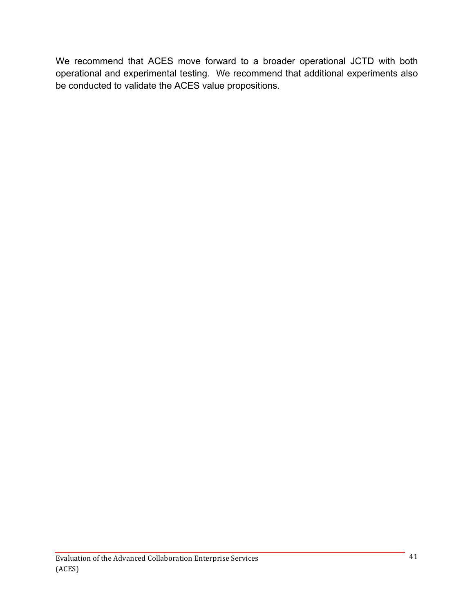We recommend that ACES move forward to a broader operational JCTD with both operational and experimental testing. We recommend that additional experiments also be conducted to validate the ACES value propositions.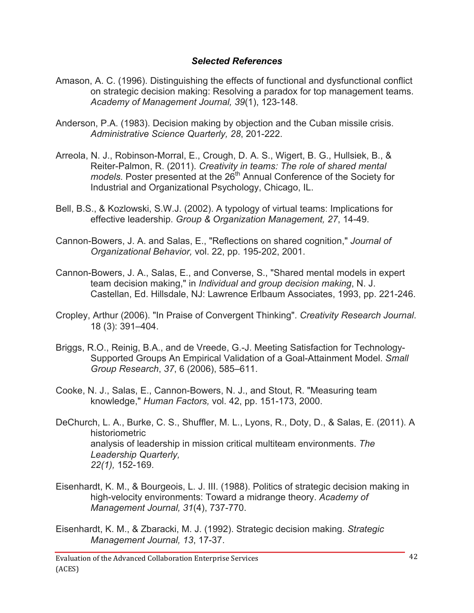#### *Selected References*

- Amason, A. C. (1996). Distinguishing the effects of functional and dysfunctional conflict on strategic decision making: Resolving a paradox for top management teams. *Academy of Management Journal, 39*(1), 123-148.
- Anderson, P.A. (1983). Decision making by objection and the Cuban missile crisis. *Administrative Science Quarterly, 28*, 201-222.
- Arreola, N. J., Robinson-Morral, E., Crough, D. A. S., Wigert, B. G., Hullsiek, B., & Reiter-Palmon, R. (2011). *Creativity in teams: The role of shared mental models.* Poster presented at the 26<sup>th</sup> Annual Conference of the Society for Industrial and Organizational Psychology, Chicago, IL.
- Bell, B.S., & Kozlowski, S.W.J. (2002). A typology of virtual teams: Implications for effective leadership. *Group & Organization Management, 27*, 14-49.
- Cannon-Bowers, J. A. and Salas, E., "Reflections on shared cognition," *Journal of Organizational Behavior,* vol. 22, pp. 195-202, 2001.
- Cannon-Bowers, J. A., Salas, E., and Converse, S., "Shared mental models in expert team decision making," in *Individual and group decision making*, N. J. Castellan, Ed. Hillsdale, NJ: Lawrence Erlbaum Associates, 1993, pp. 221-246.
- Cropley, Arthur (2006). "In Praise of Convergent Thinking". *Creativity Research Journal*. 18 (3): 391–404.
- Briggs, R.O., Reinig, B.A., and de Vreede, G.-J. Meeting Satisfaction for Technology-Supported Groups An Empirical Validation of a Goal-Attainment Model. *Small Group Research*, *37*, 6 (2006), 585–611.
- Cooke, N. J., Salas, E., Cannon-Bowers, N. J., and Stout, R. "Measuring team knowledge," *Human Factors,* vol. 42, pp. 151-173, 2000.
- DeChurch, L. A., Burke, C. S., Shuffler, M. L., Lyons, R., Doty, D., & Salas, E. (2011). A historiometric analysis of leadership in mission critical multiteam environments. *The Leadership Quarterly, 22(1),* 152-169.
- Eisenhardt, K. M., & Bourgeois, L. J. III. (1988). Politics of strategic decision making in high-velocity environments: Toward a midrange theory. *Academy of Management Journal, 31*(4), 737-770.
- Eisenhardt, K. M., & Zbaracki, M. J. (1992). Strategic decision making. *Strategic Management Journal, 13*, 17-37.